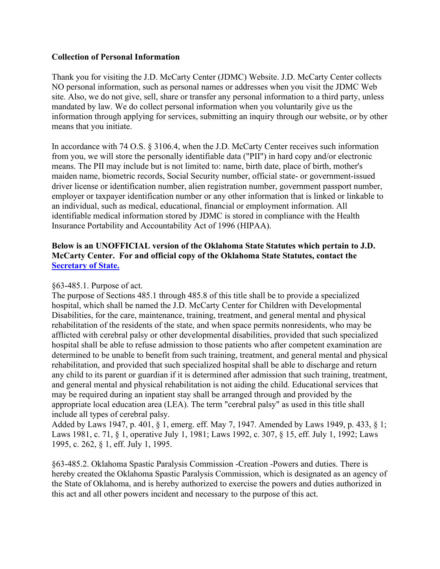#### **Collection of Personal Information**

Thank you for visiting the J.D. McCarty Center (JDMC) Website. J.D. McCarty Center collects NO personal information, such as personal names or addresses when you visit the JDMC Web site. Also, we do not give, sell, share or transfer any personal information to a third party, unless mandated by law. We do collect personal information when you voluntarily give us the information through applying for services, submitting an inquiry through our website, or by other means that you initiate.

In accordance with 74 O.S. § 3106.4, when the J.D. McCarty Center receives such information from you, we will store the personally identifiable data ("PII") in hard copy and/or electronic means. The PII may include but is not limited to: name, birth date, place of birth, mother's maiden name, biometric records, Social Security number, official state- or government-issued driver license or identification number, alien registration number, government passport number, employer or taxpayer identification number or any other information that is linked or linkable to an individual, such as medical, educational, financial or employment information. All identifiable medical information stored by JDMC is stored in compliance with the Health Insurance Portability and Accountability Act of 1996 (HIPAA).

### **Below is an UNOFFICIAL version of the Oklahoma State Statutes which pertain to J.D. McCarty Center. For and official copy of the Oklahoma State Statutes, contact the [Secretary of State.](https://www.sos.ok.gov/)**

#### §63-485.1. Purpose of act.

The purpose of Sections 485.1 through 485.8 of this title shall be to provide a specialized hospital, which shall be named the J.D. McCarty Center for Children with Developmental Disabilities, for the care, maintenance, training, treatment, and general mental and physical rehabilitation of the residents of the state, and when space permits nonresidents, who may be afflicted with cerebral palsy or other developmental disabilities, provided that such specialized hospital shall be able to refuse admission to those patients who after competent examination are determined to be unable to benefit from such training, treatment, and general mental and physical rehabilitation, and provided that such specialized hospital shall be able to discharge and return any child to its parent or guardian if it is determined after admission that such training, treatment, and general mental and physical rehabilitation is not aiding the child. Educational services that may be required during an inpatient stay shall be arranged through and provided by the appropriate local education area (LEA). The term "cerebral palsy" as used in this title shall include all types of cerebral palsy.

Added by Laws 1947, p. 401, § 1, emerg. eff. May 7, 1947. Amended by Laws 1949, p. 433, § 1; Laws 1981, c. 71, § 1, operative July 1, 1981; Laws 1992, c. 307, § 15, eff. July 1, 1992; Laws 1995, c. 262, § 1, eff. July 1, 1995.

§63-485.2. Oklahoma Spastic Paralysis Commission -Creation -Powers and duties. There is hereby created the Oklahoma Spastic Paralysis Commission, which is designated as an agency of the State of Oklahoma, and is hereby authorized to exercise the powers and duties authorized in this act and all other powers incident and necessary to the purpose of this act.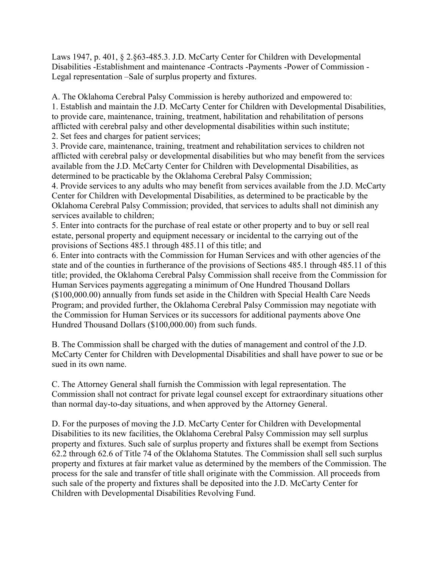Laws 1947, p. 401, § 2.§63-485.3. J.D. McCarty Center for Children with Developmental Disabilities -Establishment and maintenance -Contracts -Payments -Power of Commission - Legal representation –Sale of surplus property and fixtures.

A. The Oklahoma Cerebral Palsy Commission is hereby authorized and empowered to: 1. Establish and maintain the J.D. McCarty Center for Children with Developmental Disabilities, to provide care, maintenance, training, treatment, habilitation and rehabilitation of persons afflicted with cerebral palsy and other developmental disabilities within such institute;

2. Set fees and charges for patient services;

3. Provide care, maintenance, training, treatment and rehabilitation services to children not afflicted with cerebral palsy or developmental disabilities but who may benefit from the services available from the J.D. McCarty Center for Children with Developmental Disabilities, as determined to be practicable by the Oklahoma Cerebral Palsy Commission;

4. Provide services to any adults who may benefit from services available from the J.D. McCarty Center for Children with Developmental Disabilities, as determined to be practicable by the Oklahoma Cerebral Palsy Commission; provided, that services to adults shall not diminish any services available to children;

5. Enter into contracts for the purchase of real estate or other property and to buy or sell real estate, personal property and equipment necessary or incidental to the carrying out of the provisions of Sections 485.1 through 485.11 of this title; and

6. Enter into contracts with the Commission for Human Services and with other agencies of the state and of the counties in furtherance of the provisions of Sections 485.1 through 485.11 of this title; provided, the Oklahoma Cerebral Palsy Commission shall receive from the Commission for Human Services payments aggregating a minimum of One Hundred Thousand Dollars (\$100,000.00) annually from funds set aside in the Children with Special Health Care Needs Program; and provided further, the Oklahoma Cerebral Palsy Commission may negotiate with the Commission for Human Services or its successors for additional payments above One Hundred Thousand Dollars (\$100,000.00) from such funds.

B. The Commission shall be charged with the duties of management and control of the J.D. McCarty Center for Children with Developmental Disabilities and shall have power to sue or be sued in its own name.

C. The Attorney General shall furnish the Commission with legal representation. The Commission shall not contract for private legal counsel except for extraordinary situations other than normal day-to-day situations, and when approved by the Attorney General.

D. For the purposes of moving the J.D. McCarty Center for Children with Developmental Disabilities to its new facilities, the Oklahoma Cerebral Palsy Commission may sell surplus property and fixtures. Such sale of surplus property and fixtures shall be exempt from Sections 62.2 through 62.6 of Title 74 of the Oklahoma Statutes. The Commission shall sell such surplus property and fixtures at fair market value as determined by the members of the Commission. The process for the sale and transfer of title shall originate with the Commission. All proceeds from such sale of the property and fixtures shall be deposited into the J.D. McCarty Center for Children with Developmental Disabilities Revolving Fund.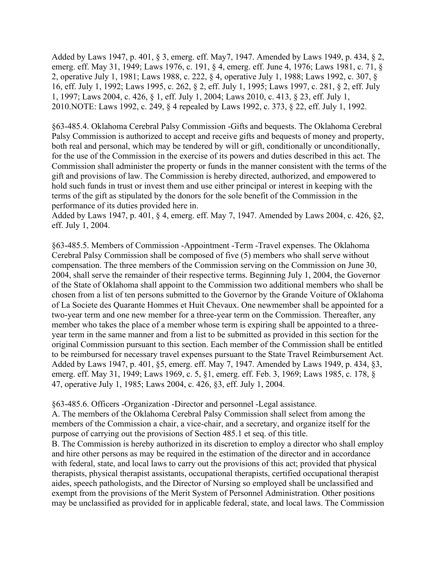Added by Laws 1947, p. 401, § 3, emerg. eff. May7, 1947. Amended by Laws 1949, p. 434, § 2, emerg. eff. May 31, 1949; Laws 1976, c. 191, § 4, emerg. eff. June 4, 1976; Laws 1981, c. 71, § 2, operative July 1, 1981; Laws 1988, c. 222, § 4, operative July 1, 1988; Laws 1992, c. 307, § 16, eff. July 1, 1992; Laws 1995, c. 262, § 2, eff. July 1, 1995; Laws 1997, c. 281, § 2, eff. July 1, 1997; Laws 2004, c. 426, § 1, eff. July 1, 2004; Laws 2010, c. 413, § 23, eff. July 1, 2010.NOTE: Laws 1992, c. 249, § 4 repealed by Laws 1992, c. 373, § 22, eff. July 1, 1992.

§63-485.4. Oklahoma Cerebral Palsy Commission -Gifts and bequests. The Oklahoma Cerebral Palsy Commission is authorized to accept and receive gifts and bequests of money and property, both real and personal, which may be tendered by will or gift, conditionally or unconditionally, for the use of the Commission in the exercise of its powers and duties described in this act. The Commission shall administer the property or funds in the manner consistent with the terms of the gift and provisions of law. The Commission is hereby directed, authorized, and empowered to hold such funds in trust or invest them and use either principal or interest in keeping with the terms of the gift as stipulated by the donors for the sole benefit of the Commission in the performance of its duties provided here in.

Added by Laws 1947, p. 401, § 4, emerg. eff. May 7, 1947. Amended by Laws 2004, c. 426, §2, eff. July 1, 2004.

§63-485.5. Members of Commission -Appointment -Term -Travel expenses. The Oklahoma Cerebral Palsy Commission shall be composed of five (5) members who shall serve without compensation. The three members of the Commission serving on the Commission on June 30, 2004, shall serve the remainder of their respective terms. Beginning July 1, 2004, the Governor of the State of Oklahoma shall appoint to the Commission two additional members who shall be chosen from a list of ten persons submitted to the Governor by the Grande Voiture of Oklahoma of La Societe des Quarante Hommes et Huit Chevaux. One newmember shall be appointed for a two-year term and one new member for a three-year term on the Commission. Thereafter, any member who takes the place of a member whose term is expiring shall be appointed to a threeyear term in the same manner and from a list to be submitted as provided in this section for the original Commission pursuant to this section. Each member of the Commission shall be entitled to be reimbursed for necessary travel expenses pursuant to the State Travel Reimbursement Act. Added by Laws 1947, p. 401, §5, emerg. eff. May 7, 1947. Amended by Laws 1949, p. 434, §3, emerg. eff. May 31, 1949; Laws 1969, c. 5, §1, emerg. eff. Feb. 3, 1969; Laws 1985, c. 178, § 47, operative July 1, 1985; Laws 2004, c. 426, §3, eff. July 1, 2004.

§63-485.6. Officers -Organization -Director and personnel -Legal assistance.

A. The members of the Oklahoma Cerebral Palsy Commission shall select from among the members of the Commission a chair, a vice-chair, and a secretary, and organize itself for the purpose of carrying out the provisions of Section 485.1 et seq. of this title.

B. The Commission is hereby authorized in its discretion to employ a director who shall employ and hire other persons as may be required in the estimation of the director and in accordance with federal, state, and local laws to carry out the provisions of this act; provided that physical therapists, physical therapist assistants, occupational therapists, certified occupational therapist aides, speech pathologists, and the Director of Nursing so employed shall be unclassified and exempt from the provisions of the Merit System of Personnel Administration. Other positions may be unclassified as provided for in applicable federal, state, and local laws. The Commission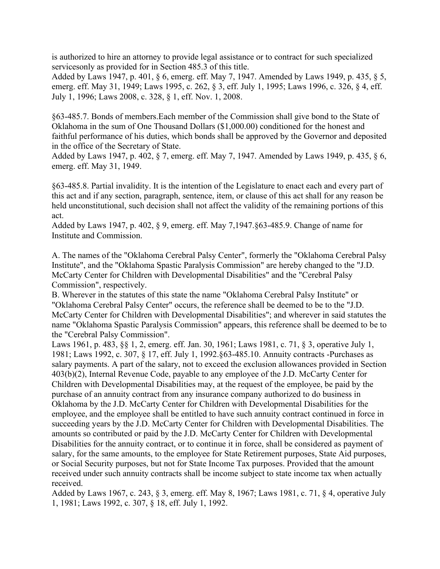is authorized to hire an attorney to provide legal assistance or to contract for such specialized servicesonly as provided for in Section 485.3 of this title.

Added by Laws 1947, p. 401, § 6, emerg. eff. May 7, 1947. Amended by Laws 1949, p. 435, § 5, emerg. eff. May 31, 1949; Laws 1995, c. 262, § 3, eff. July 1, 1995; Laws 1996, c. 326, § 4, eff. July 1, 1996; Laws 2008, c. 328, § 1, eff. Nov. 1, 2008.

§63-485.7. Bonds of members.Each member of the Commission shall give bond to the State of Oklahoma in the sum of One Thousand Dollars (\$1,000.00) conditioned for the honest and faithful performance of his duties, which bonds shall be approved by the Governor and deposited in the office of the Secretary of State.

Added by Laws 1947, p. 402, § 7, emerg. eff. May 7, 1947. Amended by Laws 1949, p. 435, § 6, emerg. eff. May 31, 1949.

§63-485.8. Partial invalidity. It is the intention of the Legislature to enact each and every part of this act and if any section, paragraph, sentence, item, or clause of this act shall for any reason be held unconstitutional, such decision shall not affect the validity of the remaining portions of this act.

Added by Laws 1947, p. 402, § 9, emerg. eff. May 7,1947.§63-485.9. Change of name for Institute and Commission.

A. The names of the "Oklahoma Cerebral Palsy Center", formerly the "Oklahoma Cerebral Palsy Institute", and the "Oklahoma Spastic Paralysis Commission" are hereby changed to the "J.D. McCarty Center for Children with Developmental Disabilities" and the "Cerebral Palsy Commission", respectively.

B. Wherever in the statutes of this state the name "Oklahoma Cerebral Palsy Institute" or "Oklahoma Cerebral Palsy Center" occurs, the reference shall be deemed to be to the "J.D. McCarty Center for Children with Developmental Disabilities"; and wherever in said statutes the name "Oklahoma Spastic Paralysis Commission" appears, this reference shall be deemed to be to the "Cerebral Palsy Commission".

Laws 1961, p. 483, §§ 1, 2, emerg. eff. Jan. 30, 1961; Laws 1981, c. 71, § 3, operative July 1, 1981; Laws 1992, c. 307, § 17, eff. July 1, 1992.§63-485.10. Annuity contracts -Purchases as salary payments. A part of the salary, not to exceed the exclusion allowances provided in Section 403(b)(2), Internal Revenue Code, payable to any employee of the J.D. McCarty Center for Children with Developmental Disabilities may, at the request of the employee, be paid by the purchase of an annuity contract from any insurance company authorized to do business in Oklahoma by the J.D. McCarty Center for Children with Developmental Disabilities for the employee, and the employee shall be entitled to have such annuity contract continued in force in succeeding years by the J.D. McCarty Center for Children with Developmental Disabilities. The amounts so contributed or paid by the J.D. McCarty Center for Children with Developmental Disabilities for the annuity contract, or to continue it in force, shall be considered as payment of salary, for the same amounts, to the employee for State Retirement purposes, State Aid purposes, or Social Security purposes, but not for State Income Tax purposes. Provided that the amount received under such annuity contracts shall be income subject to state income tax when actually received.

Added by Laws 1967, c. 243, § 3, emerg. eff. May 8, 1967; Laws 1981, c. 71, § 4, operative July 1, 1981; Laws 1992, c. 307, § 18, eff. July 1, 1992.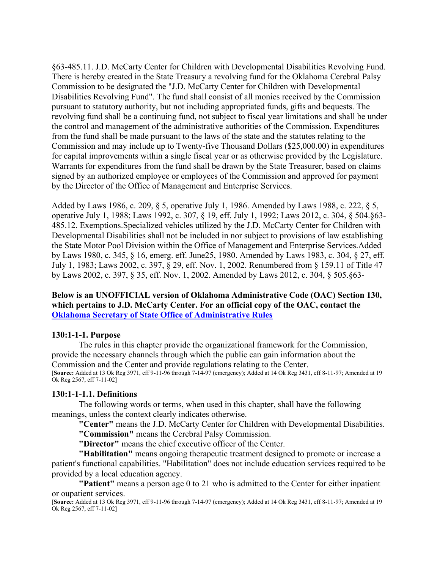§63-485.11. J.D. McCarty Center for Children with Developmental Disabilities Revolving Fund. There is hereby created in the State Treasury a revolving fund for the Oklahoma Cerebral Palsy Commission to be designated the "J.D. McCarty Center for Children with Developmental Disabilities Revolving Fund". The fund shall consist of all monies received by the Commission pursuant to statutory authority, but not including appropriated funds, gifts and bequests. The revolving fund shall be a continuing fund, not subject to fiscal year limitations and shall be under the control and management of the administrative authorities of the Commission. Expenditures from the fund shall be made pursuant to the laws of the state and the statutes relating to the Commission and may include up to Twenty-five Thousand Dollars (\$25,000.00) in expenditures for capital improvements within a single fiscal year or as otherwise provided by the Legislature. Warrants for expenditures from the fund shall be drawn by the State Treasurer, based on claims signed by an authorized employee or employees of the Commission and approved for payment by the Director of the Office of Management and Enterprise Services.

Added by Laws 1986, c. 209, § 5, operative July 1, 1986. Amended by Laws 1988, c. 222, § 5, operative July 1, 1988; Laws 1992, c. 307, § 19, eff. July 1, 1992; Laws 2012, c. 304, § 504.§63- 485.12. Exemptions.Specialized vehicles utilized by the J.D. McCarty Center for Children with Developmental Disabilities shall not be included in nor subject to provisions of law establishing the State Motor Pool Division within the Office of Management and Enterprise Services.Added by Laws 1980, c. 345, § 16, emerg. eff. June25, 1980. Amended by Laws 1983, c. 304, § 27, eff. July 1, 1983; Laws 2002, c. 397, § 29, eff. Nov. 1, 2002. Renumbered from § 159.11 of Title 47 by Laws 2002, c. 397, § 35, eff. Nov. 1, 2002. Amended by Laws 2012, c. 304, § 505.§63-

#### **Below is an UNOFFICIAL version of Oklahoma Administrative Code (OAC) Section 130, which pertains to J.D. McCarty Center. For an official copy of the OAC, contact the [Oklahoma Secretary of State Office of Administrative Rules](https://www.sos.ok.gov/oar/online/viewCode.aspx)**

#### **130:1-1-1. Purpose**

The rules in this chapter provide the organizational framework for the Commission, provide the necessary channels through which the public can gain information about the Commission and the Center and provide regulations relating to the Center. [**Source:** Added at 13 Ok Reg 3971, eff 9-11-96 through 7-14-97 (emergency); Added at 14 Ok Reg 3431, eff 8-11-97; Amended at 19 Ok Reg 2567, eff 7-11-02]

#### **130:1-1-1.1. Definitions**

The following words or terms, when used in this chapter, shall have the following meanings, unless the context clearly indicates otherwise.

**"Center"** means the J.D. McCarty Center for Children with Developmental Disabilities. **"Commission"** means the Cerebral Palsy Commission.

**"Director"** means the chief executive officer of the Center.

**"Habilitation"** means ongoing therapeutic treatment designed to promote or increase a patient's functional capabilities. "Habilitation" does not include education services required to be provided by a local education agency.

**"Patient"** means a person age 0 to 21 who is admitted to the Center for either inpatient or oupatient services.

[**Source:** Added at 13 Ok Reg 3971, eff 9-11-96 through 7-14-97 (emergency); Added at 14 Ok Reg 3431, eff 8-11-97; Amended at 19 Ok Reg 2567, eff 7-11-02]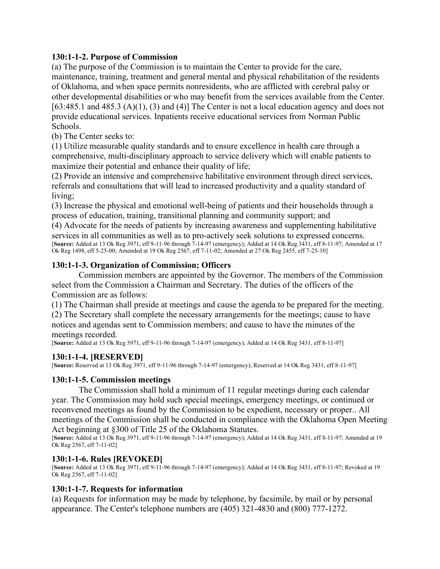#### **130:1-1-2. Purpose of Commission**

(a) The purpose of the Commission is to maintain the Center to provide for the care, maintenance, training, treatment and general mental and physical rehabilitation of the residents of Oklahoma, and when space permits nonresidents, who are afflicted with cerebral palsy or other developmental disabilities or who may benefit from the services available from the Center. [63:485.1 and 485.3 (A)(1), (3) and (4)] The Center is not a local education agency and does not provide educational services. Inpatients receive educational services from Norman Public Schools.

(b) The Center seeks to:

(1) Utilize measurable quality standards and to ensure excellence in health care through a comprehensive, multi-disciplinary approach to service delivery which will enable patients to maximize their potential and enhance their quality of life;

(2) Provide an intensive and comprehensive habilitative environment through direct services, referrals and consultations that will lead to increased productivity and a quality standard of living;

(3) Increase the physical and emotional well-being of patients and their households through a process of education, training, transitional planning and community support; and

(4) Advocate for the needs of patients by increasing awareness and supplementing habilitative services in all communities as well as to pro-actively seek solutions to expressed concerns. [**Source:** Added at 13 Ok Reg 3971, eff 9-11-96 through 7-14-97 (emergency); Added at 14 Ok Reg 3431, eff 8-11-97; Amended at 17 Ok Reg 1498, eff 5-25-00; Amended at 19 Ok Reg 2567, eff 7-11-02; Amended at 27 Ok Reg 2455, eff 7-25-10]

### **130:1-1-3. Organization of Commission; Officers**

Commission members are appointed by the Governor. The members of the Commission select from the Commission a Chairman and Secretary. The duties of the officers of the Commission are as follows:

(1) The Chairman shall preside at meetings and cause the agenda to be prepared for the meeting.

(2) The Secretary shall complete the necessary arrangements for the meetings; cause to have notices and agendas sent to Commission members; and cause to have the minutes of the meetings recorded.

[**Source:** Added at 13 Ok Reg 3971, eff 9-11-96 through 7-14-97 (emergency); Added at 14 Ok Reg 3431, eff 8-11-97]

#### **130:1-1-4. [RESERVED]**

[**Source:** Reserved at 13 Ok Reg 3971, eff 9-11-96 through 7-14-97 (emergency); Reserved at 14 Ok Reg 3431, eff 8-11-97]

#### **130:1-1-5. Commission meetings**

The Commission shall hold a minimum of 11 regular meetings during each calendar year. The Commission may hold such special meetings, emergency meetings, or continued or reconvened meetings as found by the Commission to be expedient, necessary or proper.. All meetings of the Commission shall be conducted in compliance with the Oklahoma Open Meeting Act beginning at §300 of Title 25 of the Oklahoma Statutes.

[**Source:** Added at 13 Ok Reg 3971, eff 9-11-96 through 7-14-97 (emergency); Added at 14 Ok Reg 3431, eff 8-11-97; Amended at 19 Ok Reg 2567, eff 7-11-02]

#### **130:1-1-6. Rules [REVOKED]**

[**Source:** Added at 13 Ok Reg 3971, eff 9-11-96 through 7-14-97 (emergency); Added at 14 Ok Reg 3431, eff 8-11-97; Revoked at 19 Ok Reg 2567, eff 7-11-02]

#### **130:1-1-7. Requests for information**

(a) Requests for information may be made by telephone, by facsimile, by mail or by personal appearance. The Center's telephone numbers are (405) 321-4830 and (800) 777-1272.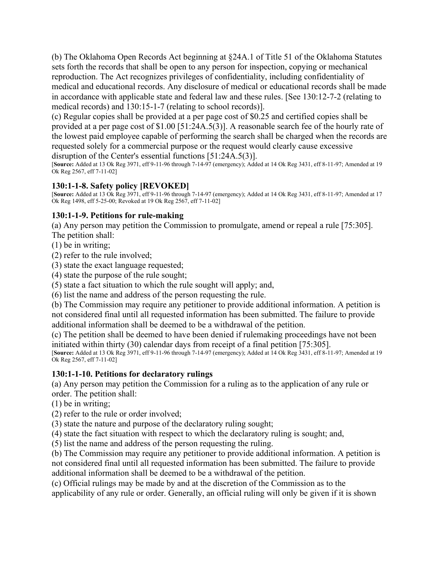(b) The Oklahoma Open Records Act beginning at §24A.1 of Title 51 of the Oklahoma Statutes sets forth the records that shall be open to any person for inspection, copying or mechanical reproduction. The Act recognizes privileges of confidentiality, including confidentiality of medical and educational records. Any disclosure of medical or educational records shall be made in accordance with applicable state and federal law and these rules. [See 130:12-7-2 (relating to medical records) and 130:15-1-7 (relating to school records)].

(c) Regular copies shall be provided at a per page cost of \$0.25 and certified copies shall be provided at a per page cost of \$1.00 [51:24A.5(3)]. A reasonable search fee of the hourly rate of the lowest paid employee capable of performing the search shall be charged when the records are requested solely for a commercial purpose or the request would clearly cause excessive disruption of the Center's essential functions [51:24A.5(3)].

[**Source:** Added at 13 Ok Reg 3971, eff 9-11-96 through 7-14-97 (emergency); Added at 14 Ok Reg 3431, eff 8-11-97; Amended at 19 Ok Reg 2567, eff 7-11-02]

### **130:1-1-8. Safety policy [REVOKED]**

[**Source:** Added at 13 Ok Reg 3971, eff 9-11-96 through 7-14-97 (emergency); Added at 14 Ok Reg 3431, eff 8-11-97; Amended at 17 Ok Reg 1498, eff 5-25-00; Revoked at 19 Ok Reg 2567, eff 7-11-02]

### **130:1-1-9. Petitions for rule-making**

(a) Any person may petition the Commission to promulgate, amend or repeal a rule [75:305]. The petition shall:

(1) be in writing;

(2) refer to the rule involved;

(3) state the exact language requested;

(4) state the purpose of the rule sought;

(5) state a fact situation to which the rule sought will apply; and,

(6) list the name and address of the person requesting the rule.

(b) The Commission may require any petitioner to provide additional information. A petition is not considered final until all requested information has been submitted. The failure to provide additional information shall be deemed to be a withdrawal of the petition.

(c) The petition shall be deemed to have been denied if rulemaking proceedings have not been initiated within thirty (30) calendar days from receipt of a final petition [75:305].

[**Source:** Added at 13 Ok Reg 3971, eff 9-11-96 through 7-14-97 (emergency); Added at 14 Ok Reg 3431, eff 8-11-97; Amended at 19 Ok Reg 2567, eff 7-11-02]

### **130:1-1-10. Petitions for declaratory rulings**

(a) Any person may petition the Commission for a ruling as to the application of any rule or order. The petition shall:

(1) be in writing;

(2) refer to the rule or order involved;

(3) state the nature and purpose of the declaratory ruling sought;

(4) state the fact situation with respect to which the declaratory ruling is sought; and,

(5) list the name and address of the person requesting the ruling.

(b) The Commission may require any petitioner to provide additional information. A petition is not considered final until all requested information has been submitted. The failure to provide additional information shall be deemed to be a withdrawal of the petition.

(c) Official rulings may be made by and at the discretion of the Commission as to the applicability of any rule or order. Generally, an official ruling will only be given if it is shown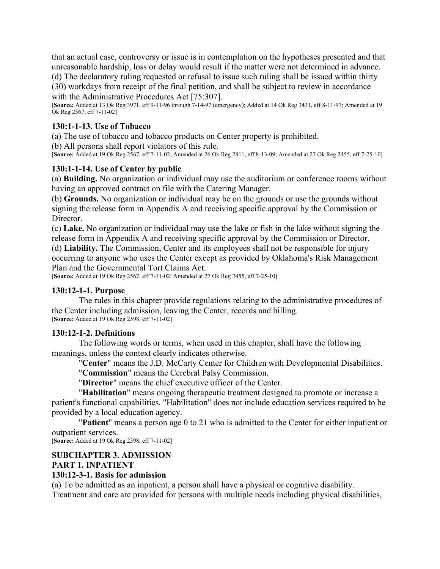that an actual case, controversy or issue is in contemplation on the hypotheses presented and that unreasonable hardship, loss or delay would result if the matter were not determined in advance.

(d) The declaratory ruling requested or refusal to issue such ruling shall be issued within thirty

(30) workdays from receipt of the final petition, and shall be subject to review in accordance with the Administrative Procedures Act [75:307].

[**Source:** Added at 13 Ok Reg 3971, eff 9-11-96 through 7-14-97 (emergency); Added at 14 Ok Reg 3431, eff 8-11-97; Amended at 19 Ok Reg 2567, eff 7-11-02]

#### **130:1-1-13. Use of Tobacco**

(a) The use of tobacco and tobacco products on Center property is prohibited.

(b) All persons shall report violators of this rule.

[**Source:** Added at 19 Ok Reg 2567, eff 7-11-02; Amended at 26 Ok Reg 2811, eff 8-13-09; Amended at 27 Ok Reg 2455, eff 7-25-10]

#### **130:1-1-14. Use of Center by public**

(a) **Building.** No organization or individual may use the auditorium or conference rooms without having an approved contract on file with the Catering Manager.

(b) **Grounds.** No organization or individual may be on the grounds or use the grounds without signing the release form in Appendix A and receiving specific approval by the Commission or Director.

(c) **Lake.** No organization or individual may use the lake or fish in the lake without signing the release form in Appendix A and receiving specific approval by the Commission or Director.

(d) **Liability.** The Commission, Center and its employees shall not be responsible for injury occurring to anyone who uses the Center except as provided by Oklahoma's Risk Management Plan and the Governmental Tort Claims Act.

[**Source:** Added at 19 Ok Reg 2567, eff 7-11-02; Amended at 27 Ok Reg 2455, eff 7-25-10]

#### **130:12-1-1. Purpose**

The rules in this chapter provide regulations relating to the administrative procedures of the Center including admission, leaving the Center, records and billing. [**Source:** Added at 19 Ok Reg 2598, eff 7-11-02]

#### **130:12-1-2. Definitions**

The following words or terms, when used in this chapter, shall have the following meanings, unless the context clearly indicates otherwise.

"**Center**" means the J.D. McCarty Center for Children with Developmental Disabilities.

"**Commission**" means the Cerebral Palsy Commission.

"**Director**" means the chief executive officer of the Center.

"**Habilitation**" means ongoing therapeutic treatment designed to promote or increase a patient's functional capabilities. "Habilitation" does not include education services required to be provided by a local education agency.

"**Patient**" means a person age 0 to 21 who is admitted to the Center for either inpatient or outpatient services.

[**Source:** Added at 19 Ok Reg 2598, eff 7-11-02]

#### **SUBCHAPTER 3. ADMISSION PART 1. INPATIENT**

#### **130:12-3-1. Basis for admission**

(a) To be admitted as an inpatient, a person shall have a physical or cognitive disability. Treatment and care are provided for persons with multiple needs including physical disabilities,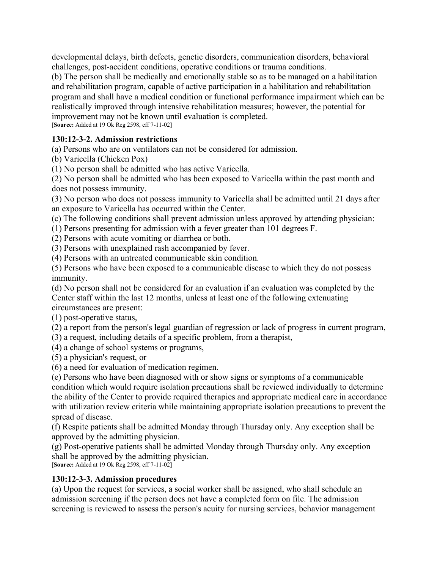developmental delays, birth defects, genetic disorders, communication disorders, behavioral challenges, post-accident conditions, operative conditions or trauma conditions.

(b) The person shall be medically and emotionally stable so as to be managed on a habilitation and rehabilitation program, capable of active participation in a habilitation and rehabilitation program and shall have a medical condition or functional performance impairment which can be realistically improved through intensive rehabilitation measures; however, the potential for improvement may not be known until evaluation is completed. [**Source:** Added at 19 Ok Reg 2598, eff 7-11-02]

### **130:12-3-2. Admission restrictions**

(a) Persons who are on ventilators can not be considered for admission.

(b) Varicella (Chicken Pox)

(1) No person shall be admitted who has active Varicella.

(2) No person shall be admitted who has been exposed to Varicella within the past month and does not possess immunity.

(3) No person who does not possess immunity to Varicella shall be admitted until 21 days after an exposure to Varicella has occurred within the Center.

(c) The following conditions shall prevent admission unless approved by attending physician:

(1) Persons presenting for admission with a fever greater than 101 degrees F.

(2) Persons with acute vomiting or diarrhea or both.

(3) Persons with unexplained rash accompanied by fever.

(4) Persons with an untreated communicable skin condition.

(5) Persons who have been exposed to a communicable disease to which they do not possess immunity.

(d) No person shall not be considered for an evaluation if an evaluation was completed by the Center staff within the last 12 months, unless at least one of the following extenuating circumstances are present:

(1) post-operative status,

(2) a report from the person's legal guardian of regression or lack of progress in current program,

(3) a request, including details of a specific problem, from a therapist,

(4) a change of school systems or programs,

(5) a physician's request, or

(6) a need for evaluation of medication regimen.

(e) Persons who have been diagnosed with or show signs or symptoms of a communicable condition which would require isolation precautions shall be reviewed individually to determine the ability of the Center to provide required therapies and appropriate medical care in accordance with utilization review criteria while maintaining appropriate isolation precautions to prevent the spread of disease.

(f) Respite patients shall be admitted Monday through Thursday only. Any exception shall be approved by the admitting physician.

(g) Post-operative patients shall be admitted Monday through Thursday only. Any exception shall be approved by the admitting physician.

[**Source:** Added at 19 Ok Reg 2598, eff 7-11-02]

### **130:12-3-3. Admission procedures**

(a) Upon the request for services, a social worker shall be assigned, who shall schedule an admission screening if the person does not have a completed form on file. The admission screening is reviewed to assess the person's acuity for nursing services, behavior management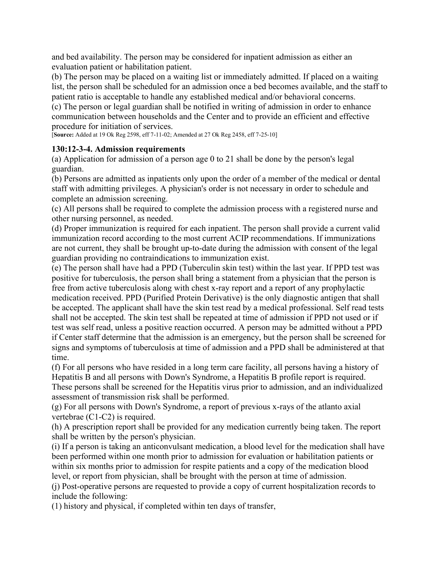and bed availability. The person may be considered for inpatient admission as either an evaluation patient or habilitation patient.

(b) The person may be placed on a waiting list or immediately admitted. If placed on a waiting list, the person shall be scheduled for an admission once a bed becomes available, and the staff to patient ratio is acceptable to handle any established medical and/or behavioral concerns.

(c) The person or legal guardian shall be notified in writing of admission in order to enhance communication between households and the Center and to provide an efficient and effective procedure for initiation of services.

[**Source:** Added at 19 Ok Reg 2598, eff 7-11-02; Amended at 27 Ok Reg 2458, eff 7-25-10]

### **130:12-3-4. Admission requirements**

(a) Application for admission of a person age 0 to 21 shall be done by the person's legal guardian.

(b) Persons are admitted as inpatients only upon the order of a member of the medical or dental staff with admitting privileges. A physician's order is not necessary in order to schedule and complete an admission screening.

(c) All persons shall be required to complete the admission process with a registered nurse and other nursing personnel, as needed.

(d) Proper immunization is required for each inpatient. The person shall provide a current valid immunization record according to the most current ACIP recommendations. If immunizations are not current, they shall be brought up-to-date during the admission with consent of the legal guardian providing no contraindications to immunization exist.

(e) The person shall have had a PPD (Tuberculin skin test) within the last year. If PPD test was positive for tuberculosis, the person shall bring a statement from a physician that the person is free from active tuberculosis along with chest x-ray report and a report of any prophylactic medication received. PPD (Purified Protein Derivative) is the only diagnostic antigen that shall be accepted. The applicant shall have the skin test read by a medical professional. Self read tests shall not be accepted. The skin test shall be repeated at time of admission if PPD not used or if test was self read, unless a positive reaction occurred. A person may be admitted without a PPD if Center staff determine that the admission is an emergency, but the person shall be screened for signs and symptoms of tuberculosis at time of admission and a PPD shall be administered at that time.

(f) For all persons who have resided in a long term care facility, all persons having a history of Hepatitis B and all persons with Down's Syndrome, a Hepatitis B profile report is required. These persons shall be screened for the Hepatitis virus prior to admission, and an individualized assessment of transmission risk shall be performed.

(g) For all persons with Down's Syndrome, a report of previous x-rays of the atlanto axial vertebrae (C1-C2) is required.

(h) A prescription report shall be provided for any medication currently being taken. The report shall be written by the person's physician.

(i) If a person is taking an anticonvulsant medication, a blood level for the medication shall have been performed within one month prior to admission for evaluation or habilitation patients or within six months prior to admission for respite patients and a copy of the medication blood level, or report from physician, shall be brought with the person at time of admission.

(j) Post-operative persons are requested to provide a copy of current hospitalization records to include the following:

(1) history and physical, if completed within ten days of transfer,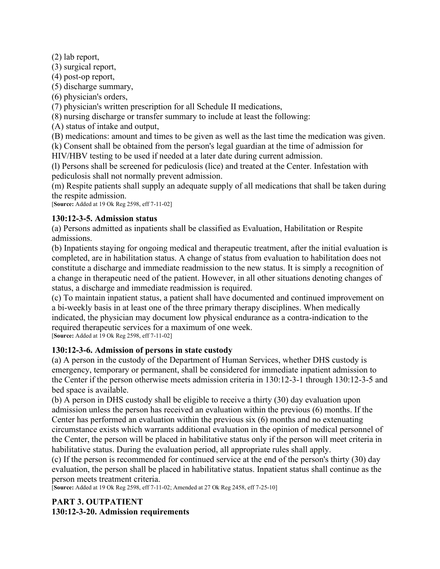(2) lab report,

(3) surgical report,

(4) post-op report,

(5) discharge summary,

(6) physician's orders,

(7) physician's written prescription for all Schedule II medications,

(8) nursing discharge or transfer summary to include at least the following:

(A) status of intake and output,

(B) medications: amount and times to be given as well as the last time the medication was given.

(k) Consent shall be obtained from the person's legal guardian at the time of admission for HIV/HBV testing to be used if needed at a later date during current admission.

(l) Persons shall be screened for pediculosis (lice) and treated at the Center. Infestation with pediculosis shall not normally prevent admission.

(m) Respite patients shall supply an adequate supply of all medications that shall be taken during the respite admission.

[**Source:** Added at 19 Ok Reg 2598, eff 7-11-02]

### **130:12-3-5. Admission status**

(a) Persons admitted as inpatients shall be classified as Evaluation, Habilitation or Respite admissions.

(b) Inpatients staying for ongoing medical and therapeutic treatment, after the initial evaluation is completed, are in habilitation status. A change of status from evaluation to habilitation does not constitute a discharge and immediate readmission to the new status. It is simply a recognition of a change in therapeutic need of the patient. However, in all other situations denoting changes of status, a discharge and immediate readmission is required.

(c) To maintain inpatient status, a patient shall have documented and continued improvement on a bi-weekly basis in at least one of the three primary therapy disciplines. When medically indicated, the physician may document low physical endurance as a contra-indication to the required therapeutic services for a maximum of one week. [**Source:** Added at 19 Ok Reg 2598, eff 7-11-02]

# **130:12-3-6. Admission of persons in state custody**

(a) A person in the custody of the Department of Human Services, whether DHS custody is emergency, temporary or permanent, shall be considered for immediate inpatient admission to the Center if the person otherwise meets admission criteria in 130:12-3-1 through 130:12-3-5 and bed space is available.

(b) A person in DHS custody shall be eligible to receive a thirty (30) day evaluation upon admission unless the person has received an evaluation within the previous (6) months. If the Center has performed an evaluation within the previous six (6) months and no extenuating circumstance exists which warrants additional evaluation in the opinion of medical personnel of the Center, the person will be placed in habilitative status only if the person will meet criteria in habilitative status. During the evaluation period, all appropriate rules shall apply.

(c) If the person is recommended for continued service at the end of the person's thirty (30) day evaluation, the person shall be placed in habilitative status. Inpatient status shall continue as the person meets treatment criteria.

[**Source:** Added at 19 Ok Reg 2598, eff 7-11-02; Amended at 27 Ok Reg 2458, eff 7-25-10]

### **PART 3. OUTPATIENT 130:12-3-20. Admission requirements**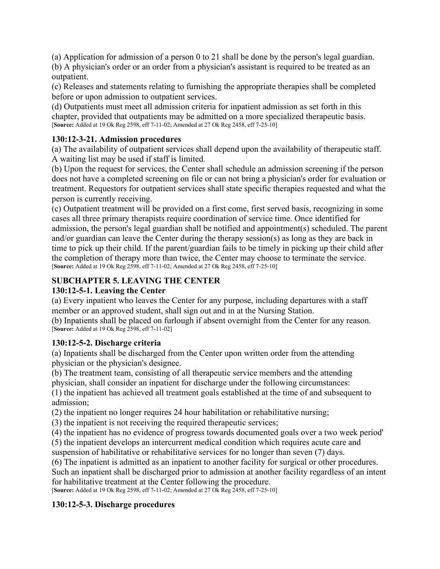(a) Application for admission of a person 0 to 21 shall be done by the person's legal guardian.

(b) A physician's order or an order from a physician's assistant is required to be treated as an outpatient.

(c) Releases and statements relating to furnishing the appropriate therapies shall be completed before or upon admission to outpatient services.

(d) Outpatients must meet all admission criteria for inpatient admission as set forth in this chapter, provided that outpatients may be admitted on a more specialized therapeutic basis. [**Source:** Added at 19 Ok Reg 2598, eff 7-11-02; Amended at 27 Ok Reg 2458, eff 7-25-10]

# **130:12-3-21. Admission procedures**

(a) The availability of outpatient services shall depend upon the availability of therapeutic staff. A waiting list may be used if staff is limited.

(b) Upon the request for services, the Center shall schedule an admission screening if the person does not have a completed screening on file or can not bring a physician's order for evaluation or treatment. Requestors for outpatient services shall state specific therapies requested and what the person is currently receiving.

(c) Outpatient treatment will be provided on a first come, first served basis, recognizing in some cases all three primary therapists require coordination of service time. Once identified for admission, the person's legal guardian shall be notified and appointment(s) scheduled. The parent and/or guardian can leave the Center during the therapy session(s) as long as they are back in time to pick up their child. If the parent/guardian fails to be timely in picking up their child after the completion of therapy more than twice, the Center may choose to terminate the service. [**Source:** Added at 19 Ok Reg 2598, eff 7-11-02; Amended at 27 Ok Reg 2458, eff 7-25-10]

# **SUBCHAPTER 5. LEAVING THE CENTER**

### **130:12-5-1. Leaving the Center**

(a) Every inpatient who leaves the Center for any purpose, including departures with a staff member or an approved student, shall sign out and in at the Nursing Station.

(b) Inpatients shall be placed on furlough if absent overnight from the Center for any reason. [**Source:** Added at 19 Ok Reg 2598, eff 7-11-02]

### **130:12-5-2. Discharge criteria**

(a) Inpatients shall be discharged from the Center upon written order from the attending physician or the physician's designee.

(b) The treatment team, consisting of all therapeutic service members and the attending physician, shall consider an inpatient for discharge under the following circumstances:

(1) the inpatient has achieved all treatment goals established at the time of and subsequent to admission;

(2) the inpatient no longer requires 24 hour habilitation or rehabilitative nursing;

(3) the inpatient is not receiving the required therapeutic services;

(4) the inpatient has no evidence of progress towards documented goals over a two week period'

(5) the inpatient develops an intercurrent medical condition which requires acute care and suspension of habilitative or rehabilitative services for no longer than seven (7) days.

(6) The inpatient is admitted as an inpatient to another facility for surgical or other procedures. Such an inpatient shall be discharged prior to admission at another facility regardless of an intent for habilitative treatment at the Center following the procedure.

[**Source:** Added at 19 Ok Reg 2598, eff 7-11-02; Amended at 27 Ok Reg 2458, eff 7-25-10]

# **130:12-5-3. Discharge procedures**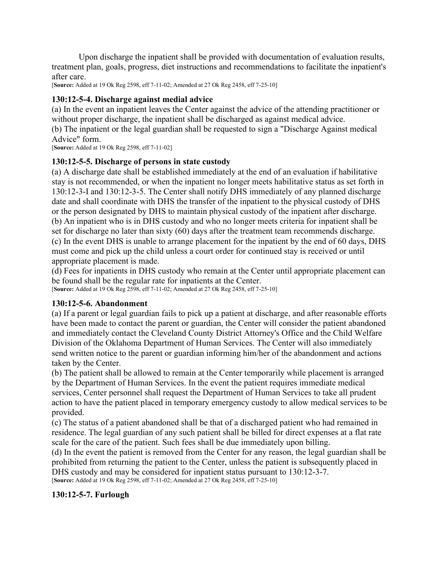Upon discharge the inpatient shall be provided with documentation of evaluation results, treatment plan, goals, progress, diet instructions and recommendations to facilitate the inpatient's after care.

[**Source:** Added at 19 Ok Reg 2598, eff 7-11-02; Amended at 27 Ok Reg 2458, eff 7-25-10]

### **130:12-5-4. Discharge against medial advice**

(a) In the event an inpatient leaves the Center against the advice of the attending practitioner or without proper discharge, the inpatient shall be discharged as against medical advice.

(b) The inpatient or the legal guardian shall be requested to sign a "Discharge Against medical Advice" form.

[**Source:** Added at 19 Ok Reg 2598, eff 7-11-02]

#### **130:12-5-5. Discharge of persons in state custody**

(a) A discharge date shall be established immediately at the end of an evaluation if habilitative stay is not recommended, or when the inpatient no longer meets habilitative status as set forth in 130:12-3-I and 130:12-3-5. The Center shall notify DHS immediately of any planned discharge date and shall coordinate with DHS the transfer of the inpatient to the physical custody of DHS or the person designated by DHS to maintain physical custody of the inpatient after discharge. (b) An inpatient who is in DHS custody and who no longer meets criteria for inpatient shall be set for discharge no later than sixty (60) days after the treatment team recommends discharge. (c) In the event DHS is unable to arrange placement for the inpatient by the end of 60 days, DHS must come and pick up the child unless a court order for continued stay is received or until appropriate placement is made.

(d) Fees for inpatients in DHS custody who remain at the Center until appropriate placement can be found shall be the regular rate for inpatients at the Center.

[**Source:** Added at 19 Ok Reg 2598, eff 7-11-02; Amended at 27 Ok Reg 2458, eff 7-25-10]

#### **130:12-5-6. Abandonment**

(a) If a parent or legal guardian fails to pick up a patient at discharge, and after reasonable efforts have been made to contact the parent or guardian, the Center will consider the patient abandoned and immediately contact the Cleveland County District Attorney's Office and the Child Welfare Division of the Oklahoma Department of Human Services. The Center will also immediately send written notice to the parent or guardian informing him/her of the abandonment and actions taken by the Center.

(b) The patient shall be allowed to remain at the Center temporarily while placement is arranged by the Department of Human Services. In the event the patient requires immediate medical services, Center personnel shall request the Department of Human Services to take all prudent action to have the patient placed in temporary emergency custody to allow medical services to be provided.

(c) The status of a patient abandoned shall be that of a discharged patient who had remained in residence. The legal guardian of any such patient shall be billed for direct expenses at a flat rate scale for the care of the patient. Such fees shall be due immediately upon billing.

(d) In the event the patient is removed from the Center for any reason, the legal guardian shall be prohibited from returning the patient to the Center, unless the patient is subsequently placed in DHS custody and may be considered for inpatient status pursuant to 130:12-3-7. [**Source:** Added at 19 Ok Reg 2598, eff 7-11-02; Amended at 27 Ok Reg 2458, eff 7-25-10]

### **130:12-5-7. Furlough**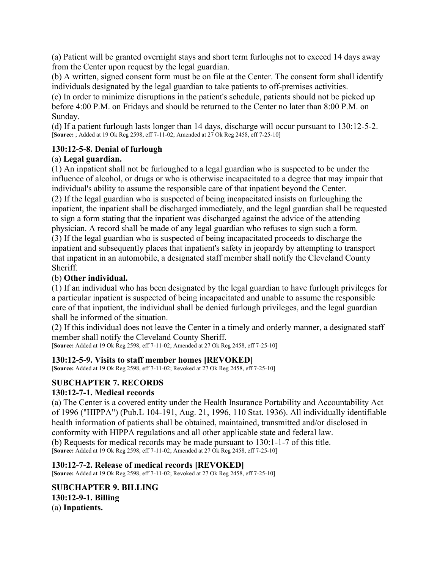(a) Patient will be granted overnight stays and short term furloughs not to exceed 14 days away from the Center upon request by the legal guardian.

(b) A written, signed consent form must be on file at the Center. The consent form shall identify individuals designated by the legal guardian to take patients to off-premises activities.

(c) In order to minimize disruptions in the patient's schedule, patients should not be picked up before 4:00 P.M. on Fridays and should be returned to the Center no later than 8:00 P.M. on Sunday.

(d) If a patient furlough lasts longer than 14 days, discharge will occur pursuant to 130:12-5-2. [**Source:** ; Added at 19 Ok Reg 2598, eff 7-11-02; Amended at 27 Ok Reg 2458, eff 7-25-10]

### **130:12-5-8. Denial of furlough**

### (a) **Legal guardian.**

(1) An inpatient shall not be furloughed to a legal guardian who is suspected to be under the influence of alcohol, or drugs or who is otherwise incapacitated to a degree that may impair that individual's ability to assume the responsible care of that inpatient beyond the Center. (2) If the legal guardian who is suspected of being incapacitated insists on furloughing the inpatient, the inpatient shall be discharged immediately, and the legal guardian shall be requested to sign a form stating that the inpatient was discharged against the advice of the attending physician. A record shall be made of any legal guardian who refuses to sign such a form. (3) If the legal guardian who is suspected of being incapacitated proceeds to discharge the inpatient and subsequently places that inpatient's safety in jeopardy by attempting to transport that inpatient in an automobile, a designated staff member shall notify the Cleveland County Sheriff.

### (b) **Other individual.**

(1) If an individual who has been designated by the legal guardian to have furlough privileges for a particular inpatient is suspected of being incapacitated and unable to assume the responsible care of that inpatient, the individual shall be denied furlough privileges, and the legal guardian shall be informed of the situation.

(2) If this individual does not leave the Center in a timely and orderly manner, a designated staff member shall notify the Cleveland County Sheriff.

[**Source:** Added at 19 Ok Reg 2598, eff 7-11-02; Amended at 27 Ok Reg 2458, eff 7-25-10]

### **130:12-5-9. Visits to staff member homes [REVOKED]**

[**Source:** Added at 19 Ok Reg 2598, eff 7-11-02; Revoked at 27 Ok Reg 2458, eff 7-25-10]

# **SUBCHAPTER 7. RECORDS**

### **130:12-7-1. Medical records**

(a) The Center is a covered entity under the Health Insurance Portability and Accountability Act of 1996 ("HIPPA") (Pub.L 104-191, Aug. 21, 1996, 110 Stat. 1936). All individually identifiable health information of patients shall be obtained, maintained, transmitted and/or disclosed in conformity with HIPPA regulations and all other applicable state and federal law. (b) Requests for medical records may be made pursuant to 130:1-1-7 of this title. [**Source:** Added at 19 Ok Reg 2598, eff 7-11-02; Amended at 27 Ok Reg 2458, eff 7-25-10]

### **130:12-7-2. Release of medical records [REVOKED]**

[**Source:** Added at 19 Ok Reg 2598, eff 7-11-02; Revoked at 27 Ok Reg 2458, eff 7-25-10]

**SUBCHAPTER 9. BILLING 130:12-9-1. Billing**  (a) **Inpatients.**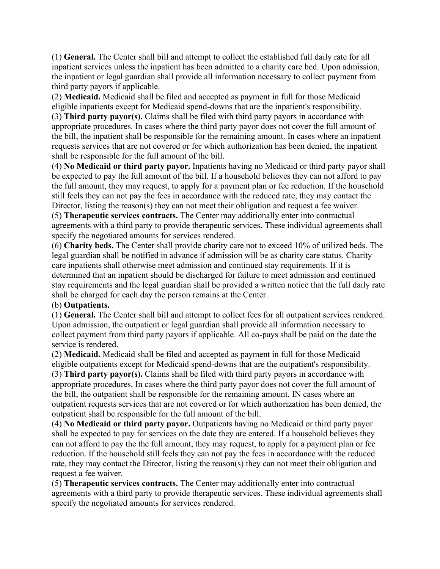(1) **General.** The Center shall bill and attempt to collect the established full daily rate for all inpatient services unless the inpatient has been admitted to a charity care bed. Upon admission, the inpatient or legal guardian shall provide all information necessary to collect payment from third party payors if applicable.

(2) **Medicaid.** Medicaid shall be filed and accepted as payment in full for those Medicaid eligible inpatients except for Medicaid spend-downs that are the inpatient's responsibility.

(3) **Third party payor(s).** Claims shall be filed with third party payors in accordance with appropriate procedures. In cases where the third party payor does not cover the full amount of the bill, the inpatient shall be responsible for the remaining amount. In cases where an inpatient requests services that are not covered or for which authorization has been denied, the inpatient shall be responsible for the full amount of the bill.

(4) **No Medicaid or third party payor.** Inpatients having no Medicaid or third party payor shall be expected to pay the full amount of the bill. If a household believes they can not afford to pay the full amount, they may request, to apply for a payment plan or fee reduction. If the household still feels they can not pay the fees in accordance with the reduced rate, they may contact the Director, listing the reason(s) they can not meet their obligation and request a fee waiver.

(5) **Therapeutic services contracts.** The Center may additionally enter into contractual agreements with a third party to provide therapeutic services. These individual agreements shall specify the negotiated amounts for services rendered.

(6) **Charity beds.** The Center shall provide charity care not to exceed 10% of utilized beds. The legal guardian shall be notified in advance if admission will be as charity care status. Charity care inpatients shall otherwise meet admission and continued stay requirements. If it is determined that an inpatient should be discharged for failure to meet admission and continued stay requirements and the legal guardian shall be provided a written notice that the full daily rate shall be charged for each day the person remains at the Center.

### (b) **Outpatients.**

(1) **General.** The Center shall bill and attempt to collect fees for all outpatient services rendered. Upon admission, the outpatient or legal guardian shall provide all information necessary to collect payment from third party payors if applicable. All co-pays shall be paid on the date the service is rendered.

(2) **Medicaid.** Medicaid shall be filed and accepted as payment in full for those Medicaid eligible outpatients except for Medicaid spend-downs that are the outpatient's responsibility. (3) **Third party payor(s).** Claims shall be filed with third party payors in accordance with appropriate procedures. In cases where the third party payor does not cover the full amount of the bill, the outpatient shall be responsible for the remaining amount. IN cases where an

outpatient requests services that are not covered or for which authorization has been denied, the outpatient shall be responsible for the full amount of the bill.

(4) **No Medicaid or third party payor.** Outpatients having no Medicaid or third party payor shall be expected to pay for services on the date they are entered. If a household believes they can not afford to pay the the full amount, they may request, to apply for a payment plan or fee reduction. If the household still feels they can not pay the fees in accordance with the reduced rate, they may contact the Director, listing the reason(s) they can not meet their obligation and request a fee waiver.

(5) **Therapeutic services contracts.** The Center may additionally enter into contractual agreements with a third party to provide therapeutic services. These individual agreements shall specify the negotiated amounts for services rendered.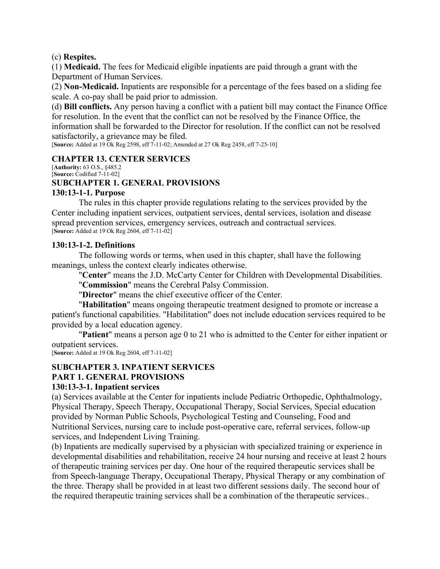#### (c) **Respites.**

(1) **Medicaid.** The fees for Medicaid eligible inpatients are paid through a grant with the Department of Human Services.

(2) **Non-Medicaid.** Inpatients are responsible for a percentage of the fees based on a sliding fee scale. A co-pay shall be paid prior to admission.

(d) **Bill conflicts.** Any person having a conflict with a patient bill may contact the Finance Office for resolution. In the event that the conflict can not be resolved by the Finance Office, the information shall be forwarded to the Director for resolution. If the conflict can not be resolved satisfactorily, a grievance may be filed.

[**Source:** Added at 19 Ok Reg 2598, eff 7-11-02; Amended at 27 Ok Reg 2458, eff 7-25-10]

#### **CHAPTER 13. CENTER SERVICES**

[**Authority:** 63 O.S., §485.2 [**Source:** Codified 7-11-02]

### **SUBCHAPTER 1. GENERAL PROVISIONS**

#### **130:13-1-1. Purpose**

The rules in this chapter provide regulations relating to the services provided by the Center including inpatient services, outpatient services, dental services, isolation and disease spread prevention services, emergency services, outreach and contractual services. [**Source:** Added at 19 Ok Reg 2604, eff 7-11-02]

#### **130:13-1-2. Definitions**

The following words or terms, when used in this chapter, shall have the following meanings, unless the context clearly indicates otherwise.

"**Center**" means the J.D. McCarty Center for Children with Developmental Disabilities.

"**Commission**" means the Cerebral Palsy Commission.

"**Director**" means the chief executive officer of the Center.

"**Habilitation**" means ongoing therapeutic treatment designed to promote or increase a patient's functional capabilities. "Habilitation" does not include education services required to be provided by a local education agency.

"**Patient**" means a person age 0 to 21 who is admitted to the Center for either inpatient or outpatient services.

[**Source:** Added at 19 Ok Reg 2604, eff 7-11-02]

#### **SUBCHAPTER 3. INPATIENT SERVICES PART 1. GENERAL PROVISIONS**

# **130:13-3-1. Inpatient services**

(a) Services available at the Center for inpatients include Pediatric Orthopedic, Ophthalmology, Physical Therapy, Speech Therapy, Occupational Therapy, Social Services, Special education provided by Norman Public Schools, Psychological Testing and Counseling, Food and Nutritional Services, nursing care to include post-operative care, referral services, follow-up services, and Independent Living Training.

(b) Inpatients are medically supervised by a physician with specialized training or experience in developmental disabilities and rehabilitation, receive 24 hour nursing and receive at least 2 hours of therapeutic training services per day. One hour of the required therapeutic services shall be from Speech-language Therapy, Occupational Therapy, Physical Therapy or any combination of the three. Therapy shall be provided in at least two different sessions daily. The second hour of the required therapeutic training services shall be a combination of the therapeutic services..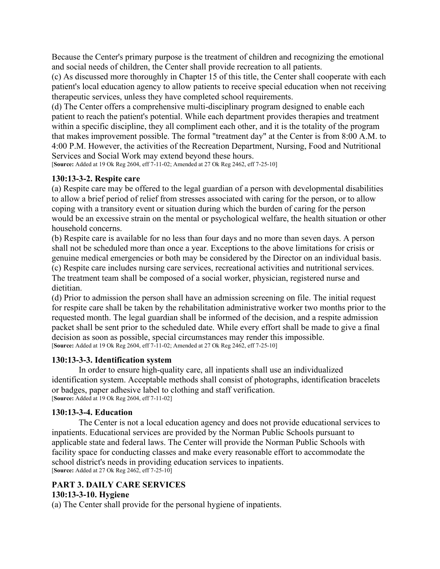Because the Center's primary purpose is the treatment of children and recognizing the emotional and social needs of children, the Center shall provide recreation to all patients.

(c) As discussed more thoroughly in Chapter 15 of this title, the Center shall cooperate with each patient's local education agency to allow patients to receive special education when not receiving therapeutic services, unless they have completed school requirements.

(d) The Center offers a comprehensive multi-disciplinary program designed to enable each patient to reach the patient's potential. While each department provides therapies and treatment within a specific discipline, they all compliment each other, and it is the totality of the program that makes improvement possible. The formal "treatment day" at the Center is from 8:00 A.M. to 4:00 P.M. However, the activities of the Recreation Department, Nursing, Food and Nutritional Services and Social Work may extend beyond these hours.

[**Source:** Added at 19 Ok Reg 2604, eff 7-11-02; Amended at 27 Ok Reg 2462, eff 7-25-10]

### **130:13-3-2. Respite care**

(a) Respite care may be offered to the legal guardian of a person with developmental disabilities to allow a brief period of relief from stresses associated with caring for the person, or to allow coping with a transitory event or situation during which the burden of caring for the person would be an excessive strain on the mental or psychological welfare, the health situation or other household concerns.

(b) Respite care is available for no less than four days and no more than seven days. A person shall not be scheduled more than once a year. Exceptions to the above limitations for crisis or genuine medical emergencies or both may be considered by the Director on an individual basis. (c) Respite care includes nursing care services, recreational activities and nutritional services. The treatment team shall be composed of a social worker, physician, registered nurse and dietitian.

(d) Prior to admission the person shall have an admission screening on file. The initial request for respite care shall be taken by the rehabilitation administrative worker two months prior to the requested month. The legal guardian shall be informed of the decision, and a respite admission packet shall be sent prior to the scheduled date. While every effort shall be made to give a final decision as soon as possible, special circumstances may render this impossible. [**Source:** Added at 19 Ok Reg 2604, eff 7-11-02; Amended at 27 Ok Reg 2462, eff 7-25-10]

### **130:13-3-3. Identification system**

In order to ensure high-quality care, all inpatients shall use an individualized identification system. Acceptable methods shall consist of photographs, identification bracelets or badges, paper adhesive label to clothing and staff verification. [**Source:** Added at 19 Ok Reg 2604, eff 7-11-02]

### **130:13-3-4. Education**

The Center is not a local education agency and does not provide educational services to inpatients. Educational services are provided by the Norman Public Schools pursuant to applicable state and federal laws. The Center will provide the Norman Public Schools with facility space for conducting classes and make every reasonable effort to accommodate the school district's needs in providing education services to inpatients. [**Source:** Added at 27 Ok Reg 2462, eff 7-25-10]

### **PART 3. DAILY CARE SERVICES 130:13-3-10. Hygiene**

(a) The Center shall provide for the personal hygiene of inpatients.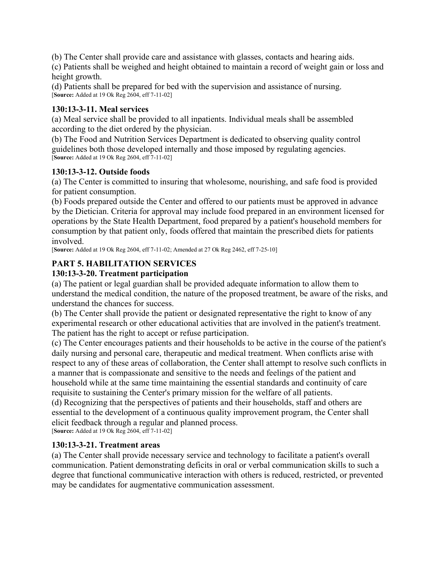(b) The Center shall provide care and assistance with glasses, contacts and hearing aids.

(c) Patients shall be weighed and height obtained to maintain a record of weight gain or loss and height growth.

(d) Patients shall be prepared for bed with the supervision and assistance of nursing. [**Source:** Added at 19 Ok Reg 2604, eff 7-11-02]

### **130:13-3-11. Meal services**

(a) Meal service shall be provided to all inpatients. Individual meals shall be assembled according to the diet ordered by the physician.

(b) The Food and Nutrition Services Department is dedicated to observing quality control guidelines both those developed internally and those imposed by regulating agencies. [**Source:** Added at 19 Ok Reg 2604, eff 7-11-02]

### **130:13-3-12. Outside foods**

(a) The Center is committed to insuring that wholesome, nourishing, and safe food is provided for patient consumption.

(b) Foods prepared outside the Center and offered to our patients must be approved in advance by the Dietician. Criteria for approval may include food prepared in an environment licensed for operations by the State Health Department, food prepared by a patient's household members for consumption by that patient only, foods offered that maintain the prescribed diets for patients involved.

[**Source:** Added at 19 Ok Reg 2604, eff 7-11-02; Amended at 27 Ok Reg 2462, eff 7-25-10]

# **PART 5. HABILITATION SERVICES**

# **130:13-3-20. Treatment participation**

(a) The patient or legal guardian shall be provided adequate information to allow them to understand the medical condition, the nature of the proposed treatment, be aware of the risks, and understand the chances for success.

(b) The Center shall provide the patient or designated representative the right to know of any experimental research or other educational activities that are involved in the patient's treatment. The patient has the right to accept or refuse participation.

(c) The Center encourages patients and their households to be active in the course of the patient's daily nursing and personal care, therapeutic and medical treatment. When conflicts arise with respect to any of these areas of collaboration, the Center shall attempt to resolve such conflicts in a manner that is compassionate and sensitive to the needs and feelings of the patient and household while at the same time maintaining the essential standards and continuity of care requisite to sustaining the Center's primary mission for the welfare of all patients.

(d) Recognizing that the perspectives of patients and their households, staff and others are essential to the development of a continuous quality improvement program, the Center shall elicit feedback through a regular and planned process.

[**Source:** Added at 19 Ok Reg 2604, eff 7-11-02]

# **130:13-3-21. Treatment areas**

(a) The Center shall provide necessary service and technology to facilitate a patient's overall communication. Patient demonstrating deficits in oral or verbal communication skills to such a degree that functional communicative interaction with others is reduced, restricted, or prevented may be candidates for augmentative communication assessment.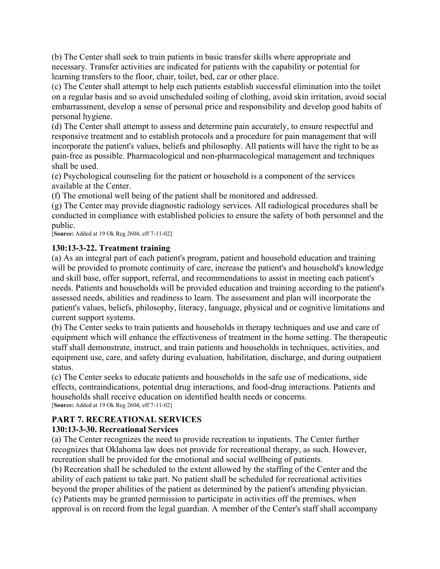(b) The Center shall seek to train patients in basic transfer skills where appropriate and necessary. Transfer activities are indicated for patients with the capability or potential for learning transfers to the floor, chair, toilet, bed, car or other place.

(c) The Center shall attempt to help each patients establish successful elimination into the toilet on a regular basis and so avoid unscheduled soiling of clothing, avoid skin irritation, avoid social embarrassment, develop a sense of personal price and responsibility and develop good habits of personal hygiene.

(d) The Center shall attempt to assess and determine pain accurately, to ensure respectful and responsive treatment and to establish protocols and a procedure for pain management that will incorporate the patient's values, beliefs and philosophy. All patients will have the right to be as pain-free as possible. Pharmacological and non-pharmacological management and techniques shall be used.

(e) Psychological counseling for the patient or household is a component of the services available at the Center.

(f) The emotional well being of the patient shall be monitored and addressed.

(g) The Center may provide diagnostic radiology services. All radiological procedures shall be conducted in compliance with established policies to ensure the safety of both personnel and the public.

[**Source:** Added at 19 Ok Reg 2604, eff 7-11-02]

### **130:13-3-22. Treatment training**

(a) As an integral part of each patient's program, patient and household education and training will be provided to promote continuity of care, increase the patient's and household's knowledge and skill base, offer support, referral, and recommendations to assist in meeting each patient's needs. Patients and households will be provided education and training according to the patient's assessed needs, abilities and readiness to learn. The assessment and plan will incorporate the patient's values, beliefs, philosophy, literacy, language, physical and or cognitive limitations and current support systems.

(b) The Center seeks to train patients and households in therapy techniques and use and care of equipment which will enhance the effectiveness of treatment in the home setting. The therapeutic staff shall demonstrate, instruct, and train patients and households in techniques, activities, and equipment use, care, and safety during evaluation, habilitation, discharge, and during outpatient status.

(c) The Center seeks to educate patients and households in the safe use of medications, side effects, contraindications, potential drug interactions, and food-drug interactions. Patients and households shall receive education on identified health needs or concerns. [**Source:** Added at 19 Ok Reg 2604, eff 7-11-02]

# **PART 7. RECREATIONAL SERVICES**

# **130:13-3-30. Recreational Services**

(a) The Center recognizes the need to provide recreation to inpatients. The Center further recognizes that Oklahoma law does not provide for recreational therapy, as such. However, recreation shall be provided for the emotional and social wellbeing of patients.

(b) Recreation shall be scheduled to the extent allowed by the staffing of the Center and the ability of each patient to take part. No patient shall be scheduled for recreational activities beyond the proper abilities of the patient as determined by the patient's attending physician. (c) Patients may be granted permission to participate in activities off the premises, when approval is on record from the legal guardian. A member of the Center's staff shall accompany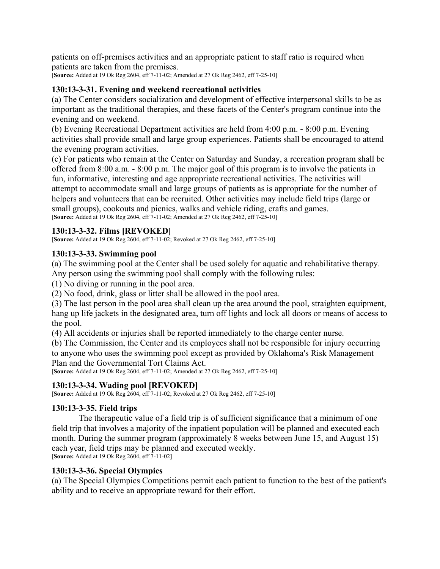patients on off-premises activities and an appropriate patient to staff ratio is required when patients are taken from the premises.

[**Source:** Added at 19 Ok Reg 2604, eff 7-11-02; Amended at 27 Ok Reg 2462, eff 7-25-10]

### **130:13-3-31. Evening and weekend recreational activities**

(a) The Center considers socialization and development of effective interpersonal skills to be as important as the traditional therapies, and these facets of the Center's program continue into the evening and on weekend.

(b) Evening Recreational Department activities are held from 4:00 p.m. - 8:00 p.m. Evening activities shall provide small and large group experiences. Patients shall be encouraged to attend the evening program activities.

(c) For patients who remain at the Center on Saturday and Sunday, a recreation program shall be offered from 8:00 a.m. - 8:00 p.m. The major goal of this program is to involve the patients in fun, informative, interesting and age appropriate recreational activities. The activities will attempt to accommodate small and large groups of patients as is appropriate for the number of helpers and volunteers that can be recruited. Other activities may include field trips (large or small groups), cookouts and picnics, walks and vehicle riding, crafts and games. [**Source:** Added at 19 Ok Reg 2604, eff 7-11-02; Amended at 27 Ok Reg 2462, eff 7-25-10]

### **130:13-3-32. Films [REVOKED]**

[**Source:** Added at 19 Ok Reg 2604, eff 7-11-02; Revoked at 27 Ok Reg 2462, eff 7-25-10]

### **130:13-3-33. Swimming pool**

(a) The swimming pool at the Center shall be used solely for aquatic and rehabilitative therapy. Any person using the swimming pool shall comply with the following rules:

(1) No diving or running in the pool area.

(2) No food, drink, glass or litter shall be allowed in the pool area.

(3) The last person in the pool area shall clean up the area around the pool, straighten equipment, hang up life jackets in the designated area, turn off lights and lock all doors or means of access to the pool.

(4) All accidents or injuries shall be reported immediately to the charge center nurse.

(b) The Commission, the Center and its employees shall not be responsible for injury occurring to anyone who uses the swimming pool except as provided by Oklahoma's Risk Management Plan and the Governmental Tort Claims Act.

[**Source:** Added at 19 Ok Reg 2604, eff 7-11-02; Amended at 27 Ok Reg 2462, eff 7-25-10]

### **130:13-3-34. Wading pool [REVOKED]**

[**Source:** Added at 19 Ok Reg 2604, eff 7-11-02; Revoked at 27 Ok Reg 2462, eff 7-25-10]

### **130:13-3-35. Field trips**

The therapeutic value of a field trip is of sufficient significance that a minimum of one field trip that involves a majority of the inpatient population will be planned and executed each month. During the summer program (approximately 8 weeks between June 15, and August 15) each year, field trips may be planned and executed weekly. [**Source:** Added at 19 Ok Reg 2604, eff 7-11-02]

### **130:13-3-36. Special Olympics**

(a) The Special Olympics Competitions permit each patient to function to the best of the patient's ability and to receive an appropriate reward for their effort.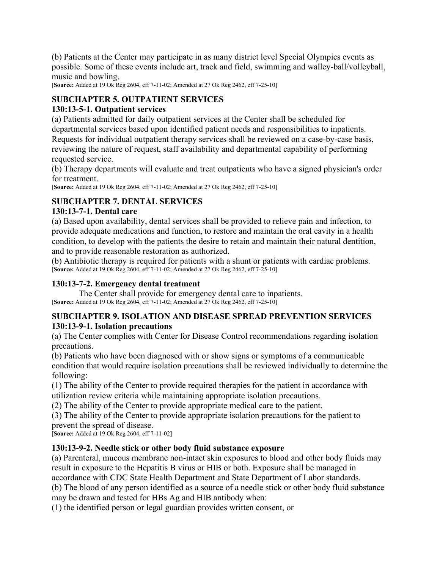(b) Patients at the Center may participate in as many district level Special Olympics events as possible. Some of these events include art, track and field, swimming and walley-ball/volleyball, music and bowling.

[**Source:** Added at 19 Ok Reg 2604, eff 7-11-02; Amended at 27 Ok Reg 2462, eff 7-25-10]

# **SUBCHAPTER 5. OUTPATIENT SERVICES**

# **130:13-5-1. Outpatient services**

(a) Patients admitted for daily outpatient services at the Center shall be scheduled for departmental services based upon identified patient needs and responsibilities to inpatients. Requests for individual outpatient therapy services shall be reviewed on a case-by-case basis, reviewing the nature of request, staff availability and departmental capability of performing requested service.

(b) Therapy departments will evaluate and treat outpatients who have a signed physician's order for treatment.

[**Source:** Added at 19 Ok Reg 2604, eff 7-11-02; Amended at 27 Ok Reg 2462, eff 7-25-10]

# **SUBCHAPTER 7. DENTAL SERVICES**

### **130:13-7-1. Dental care**

(a) Based upon availability, dental services shall be provided to relieve pain and infection, to provide adequate medications and function, to restore and maintain the oral cavity in a health condition, to develop with the patients the desire to retain and maintain their natural dentition, and to provide reasonable restoration as authorized.

(b) Antibiotic therapy is required for patients with a shunt or patients with cardiac problems. [**Source:** Added at 19 Ok Reg 2604, eff 7-11-02; Amended at 27 Ok Reg 2462, eff 7-25-10]

# **130:13-7-2. Emergency dental treatment**

The Center shall provide for emergency dental care to inpatients. [**Source:** Added at 19 Ok Reg 2604, eff 7-11-02; Amended at 27 Ok Reg 2462, eff 7-25-10]

### **SUBCHAPTER 9. ISOLATION AND DISEASE SPREAD PREVENTION SERVICES 130:13-9-1. Isolation precautions**

(a) The Center complies with Center for Disease Control recommendations regarding isolation precautions.

(b) Patients who have been diagnosed with or show signs or symptoms of a communicable condition that would require isolation precautions shall be reviewed individually to determine the following:

(1) The ability of the Center to provide required therapies for the patient in accordance with utilization review criteria while maintaining appropriate isolation precautions.

(2) The ability of the Center to provide appropriate medical care to the patient.

(3) The ability of the Center to provide appropriate isolation precautions for the patient to prevent the spread of disease.

[**Source:** Added at 19 Ok Reg 2604, eff 7-11-02]

# **130:13-9-2. Needle stick or other body fluid substance exposure**

(a) Parenteral, mucous membrane non-intact skin exposures to blood and other body fluids may result in exposure to the Hepatitis B virus or HIB or both. Exposure shall be managed in accordance with CDC State Health Department and State Department of Labor standards. (b) The blood of any person identified as a source of a needle stick or other body fluid substance

may be drawn and tested for HBs Ag and HIB antibody when:

(1) the identified person or legal guardian provides written consent, or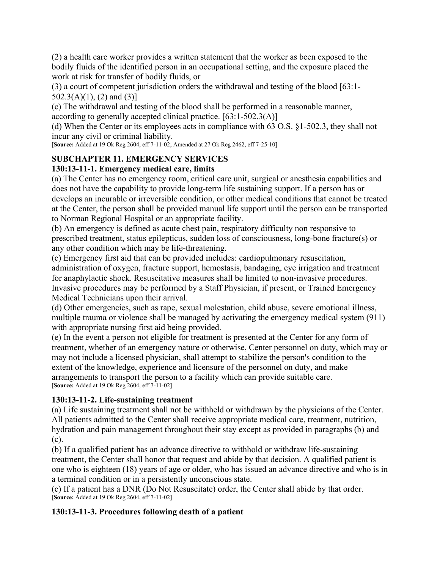(2) a health care worker provides a written statement that the worker as been exposed to the bodily fluids of the identified person in an occupational setting, and the exposure placed the work at risk for transfer of bodily fluids, or

(3) a court of competent jurisdiction orders the withdrawal and testing of the blood [63:1-  $502.3(A)(1)$ , (2) and (3)]

(c) The withdrawal and testing of the blood shall be performed in a reasonable manner, according to generally accepted clinical practice. [63:1-502.3(A)]

(d) When the Center or its employees acts in compliance with 63 O.S. §1-502.3, they shall not incur any civil or criminal liability.

[**Source:** Added at 19 Ok Reg 2604, eff 7-11-02; Amended at 27 Ok Reg 2462, eff 7-25-10]

# **SUBCHAPTER 11. EMERGENCY SERVICES**

# **130:13-11-1. Emergency medical care, limits**

(a) The Center has no emergency room, critical care unit, surgical or anesthesia capabilities and does not have the capability to provide long-term life sustaining support. If a person has or develops an incurable or irreversible condition, or other medical conditions that cannot be treated at the Center, the person shall be provided manual life support until the person can be transported to Norman Regional Hospital or an appropriate facility.

(b) An emergency is defined as acute chest pain, respiratory difficulty non responsive to prescribed treatment, status epilepticus, sudden loss of consciousness, long-bone fracture(s) or any other condition which may be life-threatening.

(c) Emergency first aid that can be provided includes: cardiopulmonary resuscitation, administration of oxygen, fracture support, hemostasis, bandaging, eye irrigation and treatment for anaphylactic shock. Resuscitative measures shall be limited to non-invasive procedures. Invasive procedures may be performed by a Staff Physician, if present, or Trained Emergency Medical Technicians upon their arrival.

(d) Other emergencies, such as rape, sexual molestation, child abuse, severe emotional illness, multiple trauma or violence shall be managed by activating the emergency medical system (911) with appropriate nursing first aid being provided.

(e) In the event a person not eligible for treatment is presented at the Center for any form of treatment, whether of an emergency nature or otherwise, Center personnel on duty, which may or may not include a licensed physician, shall attempt to stabilize the person's condition to the extent of the knowledge, experience and licensure of the personnel on duty, and make arrangements to transport the person to a facility which can provide suitable care. [**Source:** Added at 19 Ok Reg 2604, eff 7-11-02]

# **130:13-11-2. Life-sustaining treatment**

(a) Life sustaining treatment shall not be withheld or withdrawn by the physicians of the Center. All patients admitted to the Center shall receive appropriate medical care, treatment, nutrition, hydration and pain management throughout their stay except as provided in paragraphs (b) and (c).

(b) If a qualified patient has an advance directive to withhold or withdraw life-sustaining treatment, the Center shall honor that request and abide by that decision. A qualified patient is one who is eighteen (18) years of age or older, who has issued an advance directive and who is in a terminal condition or in a persistently unconscious state.

(c) If a patient has a DNR (Do Not Resuscitate) order, the Center shall abide by that order. [**Source:** Added at 19 Ok Reg 2604, eff 7-11-02]

# **130:13-11-3. Procedures following death of a patient**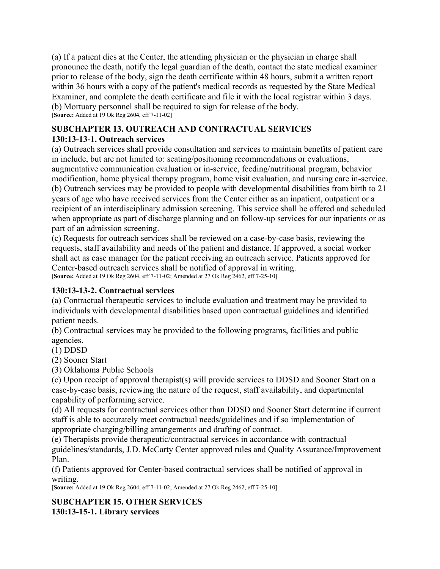(a) If a patient dies at the Center, the attending physician or the physician in charge shall pronounce the death, notify the legal guardian of the death, contact the state medical examiner prior to release of the body, sign the death certificate within 48 hours, submit a written report within 36 hours with a copy of the patient's medical records as requested by the State Medical Examiner, and complete the death certificate and file it with the local registrar within 3 days. (b) Mortuary personnel shall be required to sign for release of the body. [**Source:** Added at 19 Ok Reg 2604, eff 7-11-02]

### **SUBCHAPTER 13. OUTREACH AND CONTRACTUAL SERVICES 130:13-13-1. Outreach services**

(a) Outreach services shall provide consultation and services to maintain benefits of patient care in include, but are not limited to: seating/positioning recommendations or evaluations, augmentative communication evaluation or in-service, feeding/nutritional program, behavior modification, home physical therapy program, home visit evaluation, and nursing care in-service. (b) Outreach services may be provided to people with developmental disabilities from birth to 21 years of age who have received services from the Center either as an inpatient, outpatient or a recipient of an interdisciplinary admission screening. This service shall be offered and scheduled when appropriate as part of discharge planning and on follow-up services for our inpatients or as part of an admission screening.

(c) Requests for outreach services shall be reviewed on a case-by-case basis, reviewing the requests, staff availability and needs of the patient and distance. If approved, a social worker shall act as case manager for the patient receiving an outreach service. Patients approved for Center-based outreach services shall be notified of approval in writing. [**Source:** Added at 19 Ok Reg 2604, eff 7-11-02; Amended at 27 Ok Reg 2462, eff 7-25-10]

# **130:13-13-2. Contractual services**

(a) Contractual therapeutic services to include evaluation and treatment may be provided to individuals with developmental disabilities based upon contractual guidelines and identified patient needs.

(b) Contractual services may be provided to the following programs, facilities and public agencies.

(1) DDSD

(2) Sooner Start

(3) Oklahoma Public Schools

(c) Upon receipt of approval therapist(s) will provide services to DDSD and Sooner Start on a case-by-case basis, reviewing the nature of the request, staff availability, and departmental capability of performing service.

(d) All requests for contractual services other than DDSD and Sooner Start determine if current staff is able to accurately meet contractual needs/guidelines and if so implementation of appropriate charging/billing arrangements and drafting of contract.

(e) Therapists provide therapeutic/contractual services in accordance with contractual guidelines/standards, J.D. McCarty Center approved rules and Quality Assurance/Improvement Plan.

(f) Patients approved for Center-based contractual services shall be notified of approval in writing.

[**Source:** Added at 19 Ok Reg 2604, eff 7-11-02; Amended at 27 Ok Reg 2462, eff 7-25-10]

**SUBCHAPTER 15. OTHER SERVICES 130:13-15-1. Library services**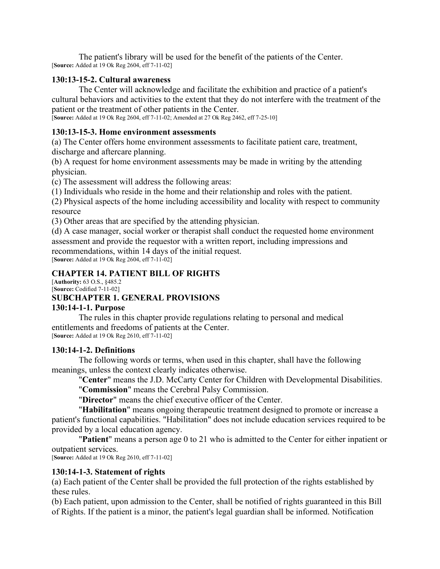The patient's library will be used for the benefit of the patients of the Center. [**Source:** Added at 19 Ok Reg 2604, eff 7-11-02]

#### **130:13-15-2. Cultural awareness**

The Center will acknowledge and facilitate the exhibition and practice of a patient's cultural behaviors and activities to the extent that they do not interfere with the treatment of the patient or the treatment of other patients in the Center.

[**Source:** Added at 19 Ok Reg 2604, eff 7-11-02; Amended at 27 Ok Reg 2462, eff 7-25-10]

#### **130:13-15-3. Home environment assessments**

(a) The Center offers home environment assessments to facilitate patient care, treatment, discharge and aftercare planning.

(b) A request for home environment assessments may be made in writing by the attending physician.

(c) The assessment will address the following areas:

(1) Individuals who reside in the home and their relationship and roles with the patient.

(2) Physical aspects of the home including accessibility and locality with respect to community resource

(3) Other areas that are specified by the attending physician.

(d) A case manager, social worker or therapist shall conduct the requested home environment assessment and provide the requestor with a written report, including impressions and recommendations, within 14 days of the initial request. [**Source:** Added at 19 Ok Reg 2604, eff 7-11-02]

#### **CHAPTER 14. PATIENT BILL OF RIGHTS**

[**Authority:** 63 O.S., §485.2 [**Source:** Codified 7-11-02]

# **SUBCHAPTER 1. GENERAL PROVISIONS**

### **130:14-1-1. Purpose**

The rules in this chapter provide regulations relating to personal and medical entitlements and freedoms of patients at the Center. [**Source:** Added at 19 Ok Reg 2610, eff 7-11-02]

#### **130:14-1-2. Definitions**

The following words or terms, when used in this chapter, shall have the following meanings, unless the context clearly indicates otherwise.

"**Center**" means the J.D. McCarty Center for Children with Developmental Disabilities.

"**Commission**" means the Cerebral Palsy Commission.

"**Director**" means the chief executive officer of the Center.

"**Habilitation**" means ongoing therapeutic treatment designed to promote or increase a patient's functional capabilities. "Habilitation" does not include education services required to be provided by a local education agency.

"**Patient**" means a person age 0 to 21 who is admitted to the Center for either inpatient or outpatient services.

[**Source:** Added at 19 Ok Reg 2610, eff 7-11-02]

### **130:14-1-3. Statement of rights**

(a) Each patient of the Center shall be provided the full protection of the rights established by these rules.

(b) Each patient, upon admission to the Center, shall be notified of rights guaranteed in this Bill of Rights. If the patient is a minor, the patient's legal guardian shall be informed. Notification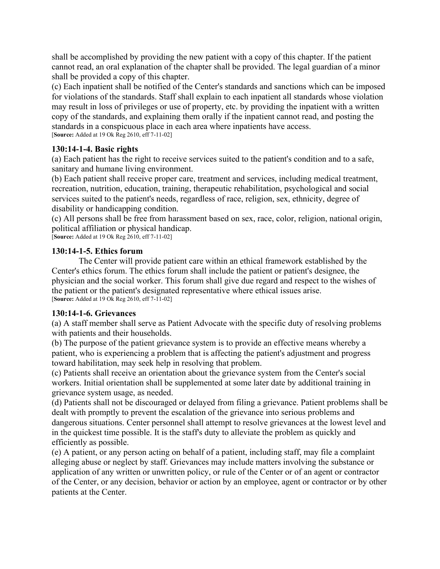shall be accomplished by providing the new patient with a copy of this chapter. If the patient cannot read, an oral explanation of the chapter shall be provided. The legal guardian of a minor shall be provided a copy of this chapter.

(c) Each inpatient shall be notified of the Center's standards and sanctions which can be imposed for violations of the standards. Staff shall explain to each inpatient all standards whose violation may result in loss of privileges or use of property, etc. by providing the inpatient with a written copy of the standards, and explaining them orally if the inpatient cannot read, and posting the standards in a conspicuous place in each area where inpatients have access. [**Source:** Added at 19 Ok Reg 2610, eff 7-11-02]

#### **130:14-1-4. Basic rights**

(a) Each patient has the right to receive services suited to the patient's condition and to a safe, sanitary and humane living environment.

(b) Each patient shall receive proper care, treatment and services, including medical treatment, recreation, nutrition, education, training, therapeutic rehabilitation, psychological and social services suited to the patient's needs, regardless of race, religion, sex, ethnicity, degree of disability or handicapping condition.

(c) All persons shall be free from harassment based on sex, race, color, religion, national origin, political affiliation or physical handicap.

[**Source:** Added at 19 Ok Reg 2610, eff 7-11-02]

### **130:14-1-5. Ethics forum**

The Center will provide patient care within an ethical framework established by the Center's ethics forum. The ethics forum shall include the patient or patient's designee, the physician and the social worker. This forum shall give due regard and respect to the wishes of the patient or the patient's designated representative where ethical issues arise. [**Source:** Added at 19 Ok Reg 2610, eff 7-11-02]

### **130:14-1-6. Grievances**

(a) A staff member shall serve as Patient Advocate with the specific duty of resolving problems with patients and their households.

(b) The purpose of the patient grievance system is to provide an effective means whereby a patient, who is experiencing a problem that is affecting the patient's adjustment and progress toward habilitation, may seek help in resolving that problem.

(c) Patients shall receive an orientation about the grievance system from the Center's social workers. Initial orientation shall be supplemented at some later date by additional training in grievance system usage, as needed.

(d) Patients shall not be discouraged or delayed from filing a grievance. Patient problems shall be dealt with promptly to prevent the escalation of the grievance into serious problems and dangerous situations. Center personnel shall attempt to resolve grievances at the lowest level and in the quickest time possible. It is the staff's duty to alleviate the problem as quickly and efficiently as possible.

(e) A patient, or any person acting on behalf of a patient, including staff, may file a complaint alleging abuse or neglect by staff. Grievances may include matters involving the substance or application of any written or unwritten policy, or rule of the Center or of an agent or contractor of the Center, or any decision, behavior or action by an employee, agent or contractor or by other patients at the Center.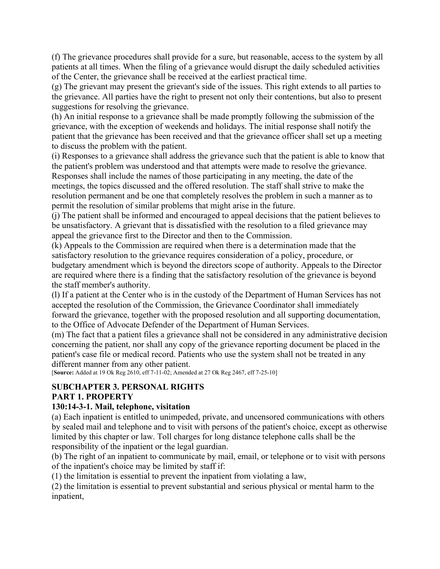(f) The grievance procedures shall provide for a sure, but reasonable, access to the system by all patients at all times. When the filing of a grievance would disrupt the daily scheduled activities of the Center, the grievance shall be received at the earliest practical time.

(g) The grievant may present the grievant's side of the issues. This right extends to all parties to the grievance. All parties have the right to present not only their contentions, but also to present suggestions for resolving the grievance.

(h) An initial response to a grievance shall be made promptly following the submission of the grievance, with the exception of weekends and holidays. The initial response shall notify the patient that the grievance has been received and that the grievance officer shall set up a meeting to discuss the problem with the patient.

(i) Responses to a grievance shall address the grievance such that the patient is able to know that the patient's problem was understood and that attempts were made to resolve the grievance. Responses shall include the names of those participating in any meeting, the date of the meetings, the topics discussed and the offered resolution. The staff shall strive to make the resolution permanent and be one that completely resolves the problem in such a manner as to permit the resolution of similar problems that might arise in the future.

(j) The patient shall be informed and encouraged to appeal decisions that the patient believes to be unsatisfactory. A grievant that is dissatisfied with the resolution to a filed grievance may appeal the grievance first to the Director and then to the Commission.

(k) Appeals to the Commission are required when there is a determination made that the satisfactory resolution to the grievance requires consideration of a policy, procedure, or budgetary amendment which is beyond the directors scope of authority. Appeals to the Director are required where there is a finding that the satisfactory resolution of the grievance is beyond the staff member's authority.

(l) If a patient at the Center who is in the custody of the Department of Human Services has not accepted the resolution of the Commission, the Grievance Coordinator shall immediately forward the grievance, together with the proposed resolution and all supporting documentation, to the Office of Advocate Defender of the Department of Human Services.

(m) The fact that a patient files a grievance shall not be considered in any administrative decision concerning the patient, nor shall any copy of the grievance reporting document be placed in the patient's case file or medical record. Patients who use the system shall not be treated in any different manner from any other patient.

[**Source:** Added at 19 Ok Reg 2610, eff 7-11-02; Amended at 27 Ok Reg 2467, eff 7-25-10]

# **SUBCHAPTER 3. PERSONAL RIGHTS**

### **PART 1. PROPERTY**

### **130:14-3-1. Mail, telephone, visitation**

(a) Each inpatient is entitled to unimpeded, private, and uncensored communications with others by sealed mail and telephone and to visit with persons of the patient's choice, except as otherwise limited by this chapter or law. Toll charges for long distance telephone calls shall be the responsibility of the inpatient or the legal guardian.

(b) The right of an inpatient to communicate by mail, email, or telephone or to visit with persons of the inpatient's choice may be limited by staff if:

(1) the limitation is essential to prevent the inpatient from violating a law,

(2) the limitation is essential to prevent substantial and serious physical or mental harm to the inpatient,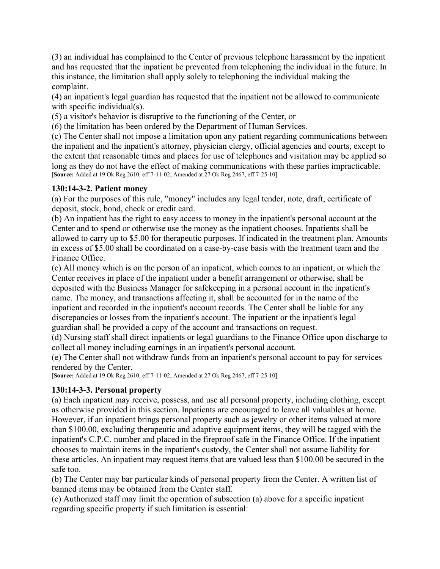(3) an individual has complained to the Center of previous telephone harassment by the inpatient and has requested that the inpatient be prevented from telephoning the individual in the future. In this instance, the limitation shall apply solely to telephoning the individual making the complaint.

(4) an inpatient's legal guardian has requested that the inpatient not be allowed to communicate with specific individual(s).

(5) a visitor's behavior is disruptive to the functioning of the Center, or

(6) the limitation has been ordered by the Department of Human Services.

(c) The Center shall not impose a limitation upon any patient regarding communications between the inpatient and the inpatient's attorney, physician clergy, official agencies and courts, except to the extent that reasonable times and places for use of telephones and visitation may be applied so long as they do not have the effect of making communications with these parties impracticable. [**Source:** Added at 19 Ok Reg 2610, eff 7-11-02; Amended at 27 Ok Reg 2467, eff 7-25-10]

### **130:14-3-2. Patient money**

(a) For the purposes of this rule, "money" includes any legal tender, note, draft, certificate of deposit, stock, bond, check or credit card.

(b) An inpatient has the right to easy access to money in the inpatient's personal account at the Center and to spend or otherwise use the money as the inpatient chooses. Inpatients shall be allowed to carry up to \$5.00 for therapeutic purposes. If indicated in the treatment plan. Amounts in excess of \$5.00 shall be coordinated on a case-by-case basis with the treatment team and the Finance Office.

(c) All money which is on the person of an inpatient, which comes to an inpatient, or which the Center receives in place of the inpatient under a benefit arrangement or otherwise, shall be deposited with the Business Manager for safekeeping in a personal account in the inpatient's name. The money, and transactions affecting it, shall be accounted for in the name of the inpatient and recorded in the inpatient's account records. The Center shall be liable for any discrepancies or losses from the inpatient's account. The inpatient or the inpatient's legal guardian shall be provided a copy of the account and transactions on request.

(d) Nursing staff shall direct inpatients or legal guardians to the Finance Office upon discharge to collect all money including earnings in an inpatient's personal account.

(e) The Center shall not withdraw funds from an inpatient's personal account to pay for services rendered by the Center.

[**Source:** Added at 19 Ok Reg 2610, eff 7-11-02; Amended at 27 Ok Reg 2467, eff 7-25-10]

# **130:14-3-3. Personal property**

(a) Each inpatient may receive, possess, and use all personal property, including clothing, except as otherwise provided in this section. Inpatients are encouraged to leave all valuables at home. However, if an inpatient brings personal property such as jewelry or other items valued at more than \$100.00, excluding therapeutic and adaptive equipment items, they will be tagged with the inpatient's C.P.C. number and placed in the fireproof safe in the Finance Office. If the inpatient chooses to maintain items in the inpatient's custody, the Center shall not assume liability for these articles. An inpatient may request items that are valued less than \$100.00 be secured in the safe too.

(b) The Center may bar particular kinds of personal property from the Center. A written list of banned items may be obtained from the Center staff.

(c) Authorized staff may limit the operation of subsection (a) above for a specific inpatient regarding specific property if such limitation is essential: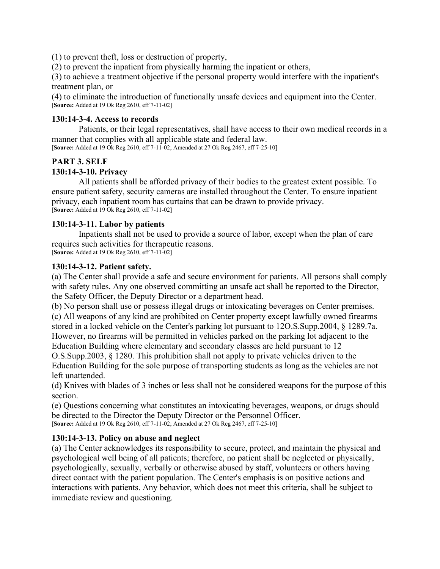(1) to prevent theft, loss or destruction of property,

(2) to prevent the inpatient from physically harming the inpatient or others,

(3) to achieve a treatment objective if the personal property would interfere with the inpatient's treatment plan, or

(4) to eliminate the introduction of functionally unsafe devices and equipment into the Center. [**Source:** Added at 19 Ok Reg 2610, eff 7-11-02]

#### **130:14-3-4. Access to records**

Patients, or their legal representatives, shall have access to their own medical records in a manner that complies with all applicable state and federal law.

[**Source:** Added at 19 Ok Reg 2610, eff 7-11-02; Amended at 27 Ok Reg 2467, eff 7-25-10]

### **PART 3. SELF**

### **130:14-3-10. Privacy**

All patients shall be afforded privacy of their bodies to the greatest extent possible. To ensure patient safety, security cameras are installed throughout the Center. To ensure inpatient privacy, each inpatient room has curtains that can be drawn to provide privacy. [**Source:** Added at 19 Ok Reg 2610, eff 7-11-02]

#### **130:14-3-11. Labor by patients**

Inpatients shall not be used to provide a source of labor, except when the plan of care requires such activities for therapeutic reasons. [**Source:** Added at 19 Ok Reg 2610, eff 7-11-02]

#### **130:14-3-12. Patient safety.**

(a) The Center shall provide a safe and secure environment for patients. All persons shall comply with safety rules. Any one observed committing an unsafe act shall be reported to the Director, the Safety Officer, the Deputy Director or a department head.

(b) No person shall use or possess illegal drugs or intoxicating beverages on Center premises. (c) All weapons of any kind are prohibited on Center property except lawfully owned firearms stored in a locked vehicle on the Center's parking lot pursuant to 12O.S.Supp.2004, § 1289.7a. However, no firearms will be permitted in vehicles parked on the parking lot adjacent to the Education Building where elementary and secondary classes are held pursuant to 12

O.S.Supp.2003, § 1280. This prohibition shall not apply to private vehicles driven to the Education Building for the sole purpose of transporting students as long as the vehicles are not left unattended.

(d) Knives with blades of 3 inches or less shall not be considered weapons for the purpose of this section.

(e) Questions concerning what constitutes an intoxicating beverages, weapons, or drugs should be directed to the Director the Deputy Director or the Personnel Officer. [**Source:** Added at 19 Ok Reg 2610, eff 7-11-02; Amended at 27 Ok Reg 2467, eff 7-25-10]

### **130:14-3-13. Policy on abuse and neglect**

(a) The Center acknowledges its responsibility to secure, protect, and maintain the physical and psychological well being of all patients; therefore, no patient shall be neglected or physically, psychologically, sexually, verbally or otherwise abused by staff, volunteers or others having direct contact with the patient population. The Center's emphasis is on positive actions and interactions with patients. Any behavior, which does not meet this criteria, shall be subject to immediate review and questioning.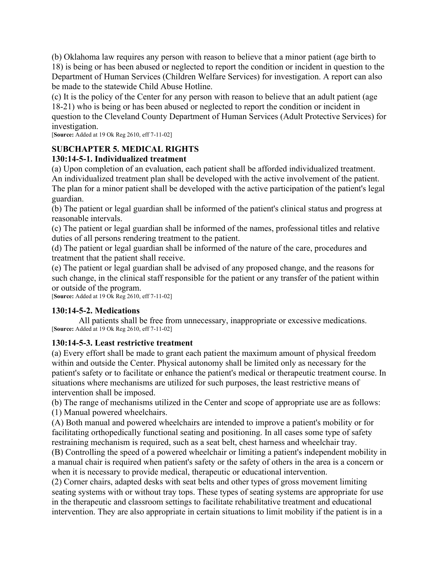(b) Oklahoma law requires any person with reason to believe that a minor patient (age birth to

18) is being or has been abused or neglected to report the condition or incident in question to the Department of Human Services (Children Welfare Services) for investigation. A report can also be made to the statewide Child Abuse Hotline.

(c) It is the policy of the Center for any person with reason to believe that an adult patient (age 18-21) who is being or has been abused or neglected to report the condition or incident in question to the Cleveland County Department of Human Services (Adult Protective Services) for investigation.

[**Source:** Added at 19 Ok Reg 2610, eff 7-11-02]

# **SUBCHAPTER 5. MEDICAL RIGHTS**

### **130:14-5-1. Individualized treatment**

(a) Upon completion of an evaluation, each patient shall be afforded individualized treatment. An individualized treatment plan shall be developed with the active involvement of the patient. The plan for a minor patient shall be developed with the active participation of the patient's legal guardian.

(b) The patient or legal guardian shall be informed of the patient's clinical status and progress at reasonable intervals.

(c) The patient or legal guardian shall be informed of the names, professional titles and relative duties of all persons rendering treatment to the patient.

(d) The patient or legal guardian shall be informed of the nature of the care, procedures and treatment that the patient shall receive.

(e) The patient or legal guardian shall be advised of any proposed change, and the reasons for such change, in the clinical staff responsible for the patient or any transfer of the patient within or outside of the program.

[**Source:** Added at 19 Ok Reg 2610, eff 7-11-02]

### **130:14-5-2. Medications**

All patients shall be free from unnecessary, inappropriate or excessive medications. [**Source:** Added at 19 Ok Reg 2610, eff 7-11-02]

### **130:14-5-3. Least restrictive treatment**

(a) Every effort shall be made to grant each patient the maximum amount of physical freedom within and outside the Center. Physical autonomy shall be limited only as necessary for the patient's safety or to facilitate or enhance the patient's medical or therapeutic treatment course. In situations where mechanisms are utilized for such purposes, the least restrictive means of intervention shall be imposed.

(b) The range of mechanisms utilized in the Center and scope of appropriate use are as follows: (1) Manual powered wheelchairs.

(A) Both manual and powered wheelchairs are intended to improve a patient's mobility or for facilitating orthopedically functional seating and positioning. In all cases some type of safety restraining mechanism is required, such as a seat belt, chest harness and wheelchair tray.

(B) Controlling the speed of a powered wheelchair or limiting a patient's independent mobility in a manual chair is required when patient's safety or the safety of others in the area is a concern or when it is necessary to provide medical, therapeutic or educational intervention.

(2) Corner chairs, adapted desks with seat belts and other types of gross movement limiting seating systems with or without tray tops. These types of seating systems are appropriate for use in the therapeutic and classroom settings to facilitate rehabilitative treatment and educational intervention. They are also appropriate in certain situations to limit mobility if the patient is in a